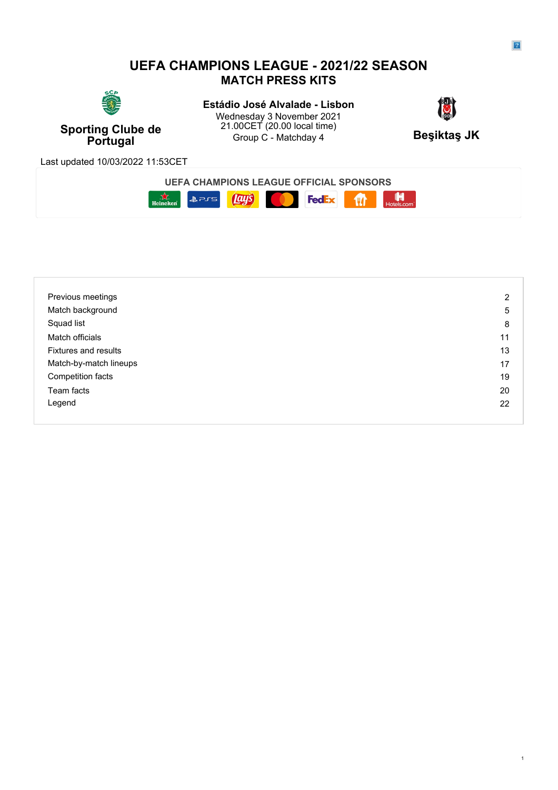## **UEFA CHAMPIONS LEAGUE - 2021/22 SEASON MATCH PRESS KITS**



**Sporting Clube de**  $\frac{21.00 \text{C}}{2}$  (20.00 local time) **Resilving Like Like 20.00 local time Portugal** Group C - Matchday 4 **Beşiktaş JK Estádio José Alvalade - Lisbon<br>Wednesdav 3 November 2024** Wednesday 3 November 2021 21.00CET (20.00 local time)



Last updated 10/03/2022 11:53CET

| <b>CHAMPIONS LEAGUE OFFICIAL SPONSORS</b><br>JEF,<br>FΔ |                          |  |
|---------------------------------------------------------|--------------------------|--|
| 215<br>$\epsilon$<br>ס.<br>Heineken                     | Œ<br>Is.com<br>Hote.<br> |  |

| Previous meetings           | 2  |
|-----------------------------|----|
| Match background            | 5  |
| Squad list                  | 8  |
| Match officials             | 11 |
| <b>Fixtures and results</b> | 13 |
| Match-by-match lineups      | 17 |
| Competition facts           | 19 |
| Team facts                  | 20 |
| Legend                      | 22 |
|                             |    |

1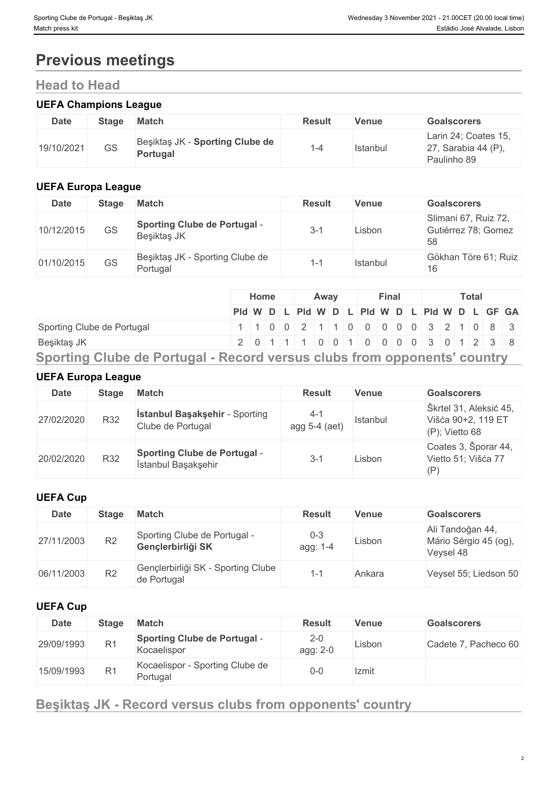# **Previous meetings**

# **Head to Head**

## **UEFA Champions League**

| <b>Date</b> | <b>Stage</b> | <b>Match</b>                                | <b>Result</b> | Venue    | <b>Goalscorers</b>                                            |
|-------------|--------------|---------------------------------------------|---------------|----------|---------------------------------------------------------------|
| 19/10/2021  | GS           | Beşiktaş JK - Sporting Clube de<br>Portugal | -4            | Istanbul | Larin 24; Coates 15,<br>27, Sarabia 44 $(P)$ ,<br>Paulinho 89 |

## **UEFA Europa League**

| <b>Date</b> | <b>Stage</b> | Match                                              | <b>Result</b>  | <b>Venue</b> | <b>Goalscorers</b>                                |
|-------------|--------------|----------------------------------------------------|----------------|--------------|---------------------------------------------------|
| 10/12/2015  | GS           | <b>Sporting Clube de Portugal -</b><br>Beşiktaş JK | 3-1            | Lisbon       | Slimani 67, Ruiz 72,<br>Gutiérrez 78; Gomez<br>58 |
| 01/10/2015  | GS           | Beşiktaş JK - Sporting Clube de<br>Portugal        | $\overline{ }$ | Istanbul     | Gökhan Töre 61; Ruiz<br>16                        |

| Pid W D L Pid W D L Pid W D L Pid W D L GF GA                       |
|---------------------------------------------------------------------|
|                                                                     |
| Sporting Clube de Portugal<br>1 1 0 0 2 1 1 0 0 0 0 0 0 3 2 1 0 8 3 |
| 2 0 1 1 1 0 0 1 0 0 0 0 0 3 0 1 2 3 8<br>Beşiktaş JK                |

## **UEFA Europa League**

| <b>Date</b> | <b>Stage</b> | <b>Match</b>                                               | <b>Result</b>            | <b>Venue</b> | <b>Goalscorers</b>                                                |
|-------------|--------------|------------------------------------------------------------|--------------------------|--------------|-------------------------------------------------------------------|
| 27/02/2020  | <b>R32</b>   | <b>İstanbul Başakşehir - Sporting</b><br>Clube de Portugal | $4 - 1$<br>agg 5-4 (aet) | Istanbul     | Škrtel 31, Aleksić 45,<br>Višća 90+2, 119 ET<br>$(P)$ ; Vietto 68 |
| 20/02/2020  | R32          | <b>Sporting Clube de Portugal -</b><br>İstanbul Başakşehir | $3-$                     | Lisbon       | Coates 3, Šporar 44,<br>Vietto 51; Višća 77<br>(P)                |

## **UEFA Cup**

| Date       | <b>Stage</b>   | <b>Match</b>                                      | <b>Result</b>       | <b>Venue</b> | <b>Goalscorers</b>                                     |
|------------|----------------|---------------------------------------------------|---------------------|--------------|--------------------------------------------------------|
| 27/11/2003 | R2             | Sporting Clube de Portugal -<br>Gençlerbirliği SK | $0 - 3$<br>agg: 1-4 | Lisbon       | Ali Tandoğan 44,<br>Mário Sérgio 45 (og),<br>Veysel 48 |
| 06/11/2003 | R <sub>2</sub> | Gençlerbirliği SK - Sporting Clube<br>de Portugal | 1-1                 | Ankara       | Veysel 55; Liedson 50                                  |

## **UEFA Cup**

| Date       | <b>Stage</b>   | <b>Match</b>                                       | <b>Result</b>       | <b>Venue</b> | <b>Goalscorers</b>   |
|------------|----------------|----------------------------------------------------|---------------------|--------------|----------------------|
| 29/09/1993 | R <sub>1</sub> | <b>Sporting Clube de Portugal -</b><br>Kocaelispor | $2 - 0$<br>agg: 2-0 | Lisbon       | Cadete 7, Pacheco 60 |
| 15/09/1993 | R <sub>1</sub> | Kocaelispor - Sporting Clube de<br>Portugal        | $0 - 0$             | Izmit        |                      |

# **Beşiktaş JK - Record versus clubs from opponents' country**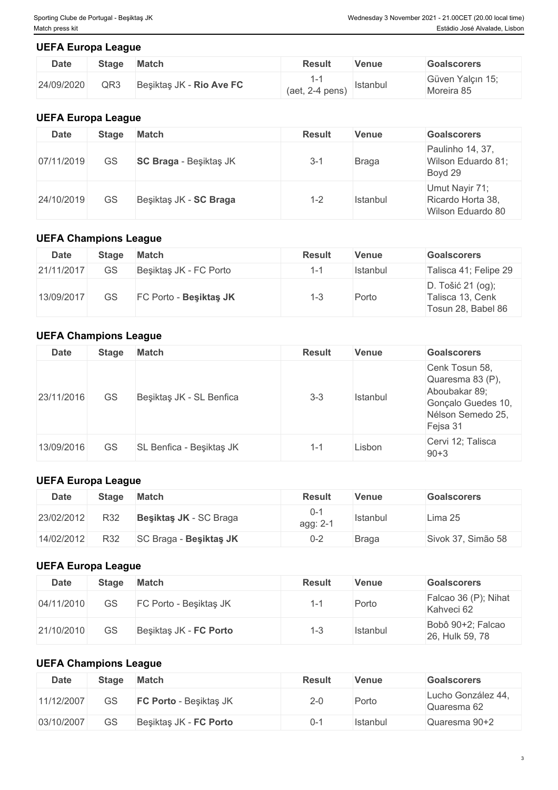## **UEFA Europa League**

| Date       | <b>Stage</b> | <b>Match</b>             | <b>Result</b>     | Venue    | <b>Goalscorers</b>             |
|------------|--------------|--------------------------|-------------------|----------|--------------------------------|
| 24/09/2020 | QR3          | Beşiktaş JK - Rio Ave FC | $(aet, 2-4 pens)$ | Istanbul | Güven Yalçın 15;<br>Moreira 85 |

## **UEFA Europa League**

| <b>Date</b> | <b>Stage</b> | <b>Match</b>                  | <b>Result</b> | Venue        | <b>Goalscorers</b>                                       |
|-------------|--------------|-------------------------------|---------------|--------------|----------------------------------------------------------|
| 07/11/2019  | GS           | <b>SC Braga</b> - Beşiktaş JK | $3 - 1$       | <b>Braga</b> | Paulinho 14, 37,<br>Wilson Eduardo 81;<br>Boyd 29        |
| 24/10/2019  | GS           | Beşiktaş JK - SC Braga        | $1 - 2$       | Istanbul     | Umut Nayir 71;<br>Ricardo Horta 38,<br>Wilson Eduardo 80 |

## **UEFA Champions League**

| <b>Date</b> | <b>Stage</b> | <b>Match</b>           | <b>Result</b> | Venue    | <b>Goalscorers</b>                                          |
|-------------|--------------|------------------------|---------------|----------|-------------------------------------------------------------|
| 21/11/2017  | GS           | Beşiktaş JK - FC Porto | $1 - 1$       | Istanbul | Talisca 41; Felipe 29                                       |
| 13/09/2017  | GS           | FC Porto - Besiktas JK | ن- ا          | Porto    | D. Tošić 21 (og);<br>Talisca 13, Cenk<br>Tosun 28, Babel 86 |

## **UEFA Champions League**

| <b>Date</b> | <b>Stage</b> | <b>Match</b>             | <b>Result</b> | <b>Venue</b> | <b>Goalscorers</b>                                                                                         |
|-------------|--------------|--------------------------|---------------|--------------|------------------------------------------------------------------------------------------------------------|
| 23/11/2016  | GS           | Beşiktaş JK - SL Benfica | $3 - 3$       | Istanbul     | Cenk Tosun 58,<br>Quaresma 83 (P),<br>Aboubakar 89;<br>Gonçalo Guedes 10,<br>Nélson Semedo 25,<br>Fejsa 31 |
| 13/09/2016  | GS           | SL Benfica - Beşiktaş JK | 1-1           | Lisbon       | Cervi 12; Talisca<br>$90 + 3$                                                                              |

## **UEFA Europa League**

| <b>Date</b> | <b>Stage</b> | <b>Match</b>           | <b>Result</b>  | Venue        | <b>Goalscorers</b> |
|-------------|--------------|------------------------|----------------|--------------|--------------------|
| 23/02/2012  | R32          | Besiktas JK - SC Braga | 0-<br>agg: 2-1 | Istanbul     | Lima 25            |
| 14/02/2012  | R32          | SC Braga - Besiktas JK | $0 - 2$        | <b>Braga</b> | Sivok 37, Simão 58 |

## **UEFA Europa League**

| Date       | <b>Stage</b> | <b>Match</b>           | <b>Result</b> | <b>Venue</b> | <b>Goalscorers</b>                   |
|------------|--------------|------------------------|---------------|--------------|--------------------------------------|
| 04/11/2010 | GS           | FC Porto - Beşiktaş JK |               | Porto        | Falcao 36 (P); Nihat<br>Kahveci 62   |
| 21/10/2010 | GS           | Beşiktaş JK - FC Porto |               | Istanbul     | Bobô 90+2; Falcao<br>26, Hulk 59, 78 |

## **UEFA Champions League**

| Date       | <b>Stage</b> | <b>Match</b>           | <b>Result</b> | Venue    | <b>Goalscorers</b>                |
|------------|--------------|------------------------|---------------|----------|-----------------------------------|
| 11/12/2007 | GS           | FC Porto - Beşiktaş JK | $2-0$         | Porto    | Lucho González 44,<br>Quaresma 62 |
| 03/10/2007 | GS           | Besiktas JK - FC Porto | 'בר           | Istanbul | Quaresma 90+2                     |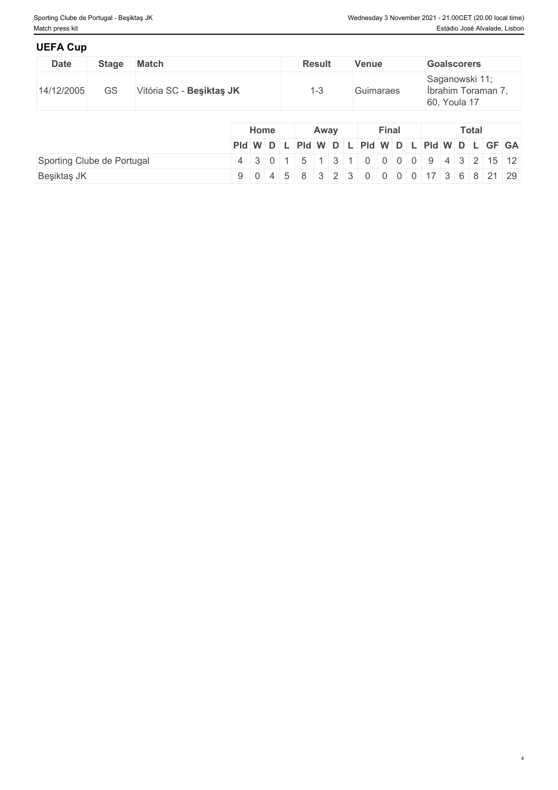4

## **UEFA Cup**

| ————————    |              |                          |               |              |                                                      |
|-------------|--------------|--------------------------|---------------|--------------|------------------------------------------------------|
| <b>Date</b> | <b>Stage</b> | <b>Match</b>             | <b>Result</b> | <b>Venue</b> | <b>Goalscorers</b>                                   |
| 14/12/2005  | GS           | Vitória SC - Besiktas JK | د−∶           | Guimaraes    | Saganowski 11;<br>İbrahim Toraman 7,<br>60, Youla 17 |

|                            |                                                                                                        | <b>Home</b> |  |  | Away |  |  | <b>Final</b> |  |  | <b>Total</b> |  |  |  |  |
|----------------------------|--------------------------------------------------------------------------------------------------------|-------------|--|--|------|--|--|--------------|--|--|--------------|--|--|--|--|
|                            | $PId \mid W \mid D \mid L \mid PId \mid W \mid D \mid L \mid PId \mid W \mid D \mid L \mid GF \mid GA$ |             |  |  |      |  |  |              |  |  |              |  |  |  |  |
| Sporting Clube de Portugal | 4 3 0 1 5 1 3 1 0 0 0 0 9 4 3 2 15 12                                                                  |             |  |  |      |  |  |              |  |  |              |  |  |  |  |
| Beşiktaş JK                | $9   0   4   5   8   3   2   3   0   0   0   17   3   6   8   21   29$                                 |             |  |  |      |  |  |              |  |  |              |  |  |  |  |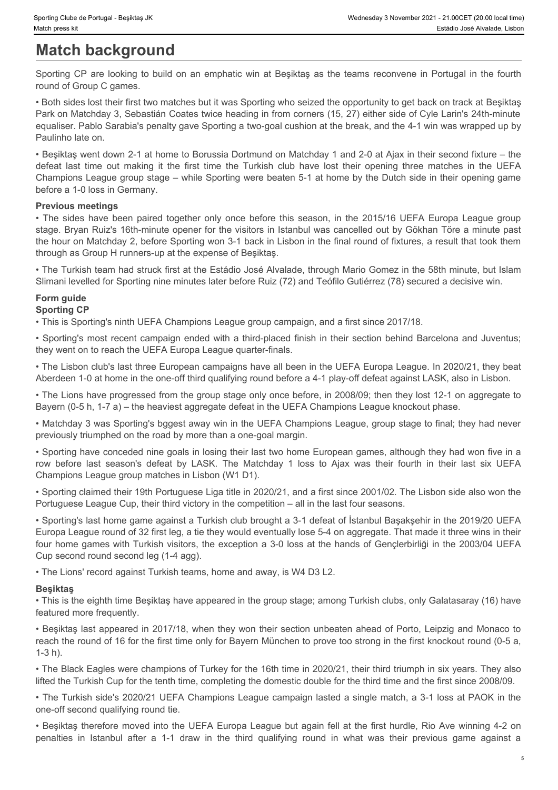# **Match background**

Sporting CP are looking to build on an emphatic win at Beşiktaş as the teams reconvene in Portugal in the fourth round of Group C games.

• Both sides lost their first two matches but it was Sporting who seized the opportunity to get back on track at Beşiktaş Park on Matchday 3, Sebastián Coates twice heading in from corners (15, 27) either side of Cyle Larin's 24th-minute equaliser. Pablo Sarabia's penalty gave Sporting a two-goal cushion at the break, and the 4-1 win was wrapped up by Paulinho late on.

• Beşiktaş went down 2-1 at home to Borussia Dortmund on Matchday 1 and 2-0 at Ajax in their second fixture – the Champions League group stage – while Sporting were beaten 5-1 at home by the Dutch side in their opening game before a 1-0 loss in Germany.

## **Previous meetings**

Sporting Clube de Portugal - Besktlas JK<br>
Match background<br>
Sporting CP are looking to build on an emphatic win at Besjiktag as the teams reconvene in Portugal in the fourth<br>
Forth sides lost their frist two matches but it Froming Cube de Pertugal - Breaking JK<br>
• Westmessky 3 Newmeter 2021 - 21.00GFT (20.00 kmail first)<br>
• Finalsin Josef Karlis Jesusaries, Liston<br>
• Forming OP are looking to build on an emphatic win at Begiktag as the teams stage. Bryan Ruiz's 16th-minute opener for the visitors in Istanbul was cancelled out by Gökhan Töre a minute past the hour on Matchday 2, before Sporting won 3-1 back in Lisbon in the final round of fixtures, a result that took them through as Group H runners-up at the expense of Beşiktaş. row before the control of the matter of the matter in the CFA control of the matter of the matter in the matter in the matter of the matter of the matter of the matter of the Match day 1 in the Match day 1 in the Match day

• The Turkish team had struck first at the Estádio José Alvalade, through Mario Gomez in the 58th minute, but Islam Slimani levelled for Sporting nine minutes later before Ruiz (72) and Teófilo Gutiérrez (78) secured a decisive win.

#### **Form guide Sporting CP**

• This is Sporting's ninth UEFA Champions League group campaign, and a first since 2017/18.

• Sporting's most recent campaign ended with a third-placed finish in their section behind Barcelona and Juventus; they went on to reach the UEFA Europa League quarter-finals.

• The Lisbon club's last three European campaigns have all been in the UEFA Europa League. In 2020/21, they beat Aberdeen 1-0 at home in the one-off third qualifying round before a 4-1 play-off defeat against LASK, also in Lisbon.

• The Lions have progressed from the group stage only once before, in 2008/09; then they lost 12-1 on aggregate to Bayern (0-5 h, 1-7 a) – the heaviest aggregate defeat in the UEFA Champions League knockout phase.

• Matchday 3 was Sporting's bggest away win in the UEFA Champions League, group stage to final; they had never previously triumphed on the road by more than a one-goal margin.

• Sporting have conceded nine goals in losing their last two home European games, although they had won five in a Champions League group matches in Lisbon (W1 D1).

• Sporting claimed their 19th Portuguese Liga title in 2020/21, and a first since 2001/02. The Lisbon side also won the Portuguese League Cup, their third victory in the competition – all in the last four seasons.

• Sporting's last home game against a Turkish club brought a 3-1 defeat of İstanbul Başakşehir in the 2019/20 UEFA Europa League round of 32 first leg, a tie they would eventually lose 5-4 on aggregate. That made it three wins in their four home games with Turkish visitors, the exception a 3-0 loss at the hands of Gençlerbirliği in the 2003/04 UEFA Cup second round second leg (1-4 agg). Sliman levelted for Spotling rine minulas later better Ruz (72) and Teolfits Guidelrez (78) secured a decisive win.<br>Sportling OP<br>
I Form guide<br>
Sportling CP<br>
- Spotling's meth UEFA Champions League group campagin, and a fi

• The Lions' record against Turkish teams, home and away, is W4 D3 L2.

## **Beşiktaş**

• This is the eighth time Beşiktaş have appeared in the group stage; among Turkish clubs, only Galatasaray (16) have featured more frequently.

• Beşiktaş last appeared in 2017/18, when they won their section unbeaten ahead of Porto, Leipzig and Monaco to reach the round of 16 for the first time only for Bayern München to prove too strong in the first knockout round (0-5 a, 1-3 h).

• The Black Eagles were champions of Turkey for the 16th time in 2020/21, their third triumph in six years. They also lifted the Turkish Cup for the tenth time, completing the domestic double for the third time and the first since 2008/09.

• The Turkish side's 2020/21 UEFA Champions League campaign lasted a single match, a 3-1 loss at PAOK in the one-off second qualifying round tie.

• Beşiktaş therefore moved into the UEFA Europa League but again fell at the first hurdle, Rio Ave winning 4-2 on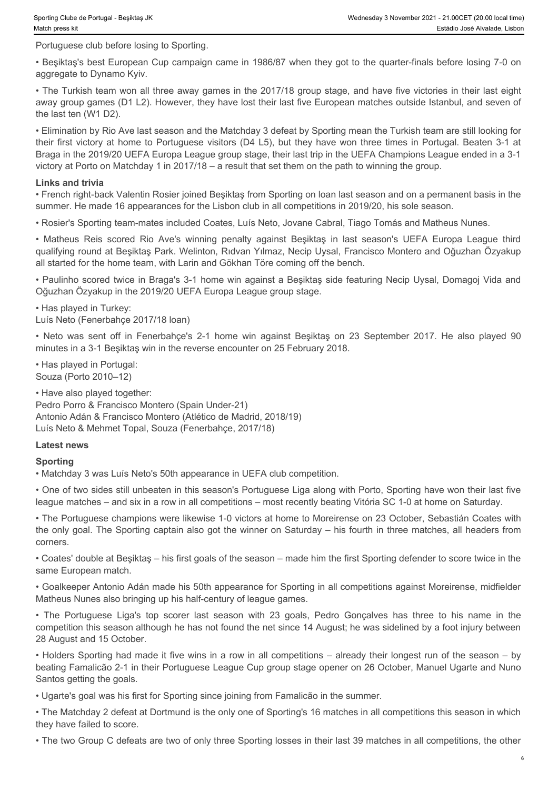Portuguese club before losing to Sporting.

• Beşiktaş's best European Cup campaign came in 1986/87 when they got to the quarter-finals before losing 7-0 on aggregate to Dynamo Kyiv.

• The Turkish team won all three away games in the 2017/18 group stage, and have five victories in their last eight away group games (D1 L2). However, they have lost their last five European matches outside Istanbul, and seven of the last ten (W1 D2).

• Elimination by Rio Ave last season and the Matchday 3 defeat by Sporting mean the Turkish team are still looking for their first victory at home to Portuguese visitors (D4 L5), but they have won three times in Portugal. Beaten 3-1 at Braga in the 2019/20 UEFA Europa League group stage, their last trip in the UEFA Champions League ended in a 3-1 victory at Porto on Matchday 1 in 2017/18 – a result that set them on the path to winning the group. sortteg Clue at Pontigel - Beşiktaş ilk<br>
• Wadrostea Rio Berlin De Spotling.<br>
• Beşiktaş's best European Cup campaign came in 1986/87 when they got to the quarter-finals before losing 7-0 on<br>
• Beşiktaş's best European Cup bertrochoe e Potusel - Devises K<br>• Westersky Scher (Scher Scher Scher Scher Scher Scher Scher Scher Scher Scher Scher Scher Scher Scher Scher Scher Scher Scher Scher Scher Scher Scher Scher Scher Scher Scher Scher Scher Sc

#### **Links and trivia**

• French right-back Valentin Rosier joined Beşiktaş from Sporting on loan last season and on a permanent basis in the summer. He made 16 appearances for the Lisbon club in all competitions in 2019/20, his sole season.

• Rosier's Sporting team-mates included Coates, Luís Neto, Jovane Cabral, Tiago Tomás and Matheus Nunes.

qualifying round at Beşiktaş Park. Welinton, Rıdvan Yılmaz, Necip Uysal, Francisco Montero and Oğuzhan Özyakup all started for the home team, with Larin and Gökhan Töre coming off the bench.

• Paulinho scored twice in Braga's 3-1 home win against a Beşiktaş side featuring Necip Uysal, Domagoj Vida and Oğuzhan Özyakup in the 2019/20 UEFA Europa League group stage.

• Has played in Turkey:

Luís Neto (Fenerbahçe 2017/18 loan)

minutes in a 3-1 Beşiktaş win in the reverse encounter on 25 February 2018.

• Has played in Portugal: Souza (Porto 2010–12)

• Have also played together: Pedro Porro & Francisco Montero (Spain Under-21) Antonio Adán & Francisco Montero (Atlético de Madrid, 2018/19) Luís Neto & Mehmet Topal, Souza (Fenerbahçe, 2017/18)

#### **Latest news**

#### **Sporting**

• Matchday 3 was Luís Neto's 50th appearance in UEFA club competition.

• One of two sides still unbeaten in this season's Portuguese Liga along with Porto, Sporting have won their last five league matches – and six in a row in all competitions – most recently beating Vitória SC 1-0 at home on Saturday.

• The Portuguese champions were likewise 1-0 victors at home to Moreirense on 23 October, Sebastián Coates with the only goal. The Sporting captain also got the winner on Saturday – his fourth in three matches, all headers from corners.

• Coates' double at Beşiktaş – his first goals of the season – made him the first Sporting defender to score twice in the same European match.

• Goalkeeper Antonio Adán made his 50th appearance for Sporting in all competitions against Moreirense, midfielder Matheus Nunes also bringing up his half-century of league games.

victory at Portuguese Ligation The Doctrine This control of the portuguese Ligation and the portuguese Ligation and the portuguese Ligation and the portuguese Ligation Scores Ligation Scores and the portuguese Ligation Sco competition this season although he has not found the net since 14 August; he was sidelined by a foot injury between 28 August and 15 October.

• Holders Sporting had made it five wins in a row in all competitions – already their longest run of the season – by beating Famalicão 2-1 in their Portuguese League Cup group stage opener on 26 October, Manuel Ugarte and Nuno Santos getting the goals.

• Ugarte's goal was his first for Sporting since joining from Famalicão in the summer.

• The Matchday 2 defeat at Dortmund is the only one of Sporting's 16 matches in all competitions this season in which they have failed to score.

• The two Group C defeats are two of only three Sporting losses in their last 39 matches in all competitions, the other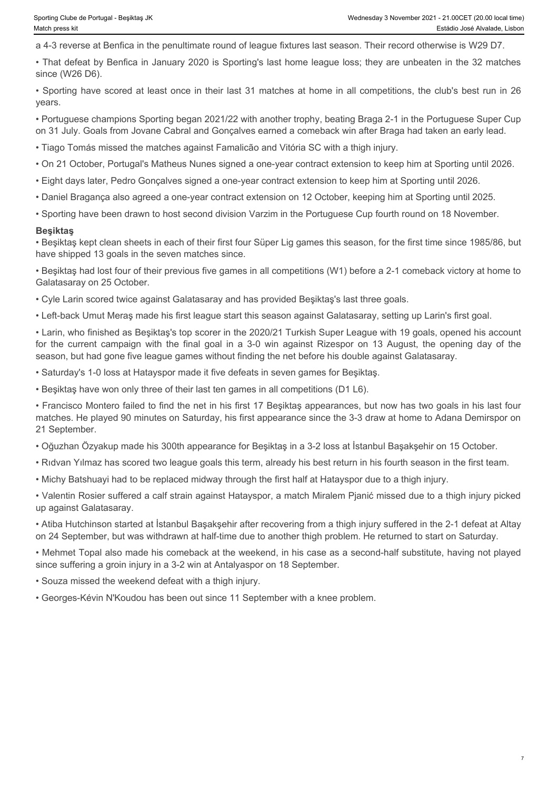7

a 4-3 reverse at Benfica in the penultimate round of league fixtures last season. Their record otherwise is W29 D7.

• That defeat by Benfica in January 2020 is Sporting's last home league loss; they are unbeaten in the 32 matches since (W26 D6).

• Sporting have scored at least once in their last 31 matches at home in all competitions, the club's best run in 26 years.

• Portuguese champions Sporting began 2021/22 with another trophy, beating Braga 2-1 in the Portuguese Super Cup on 31 July. Goals from Jovane Cabral and Gonçalves earned a comeback win after Braga had taken an early lead.

• Tiago Tomás missed the matches against Famalicão and Vitória SC with a thigh injury.

- On 21 October, Portugal's Matheus Nunes signed a one-year contract extension to keep him at Sporting until 2026.
- Eight days later, Pedro Gonçalves signed a one-year contract extension to keep him at Sporting until 2026.
- Daniel Bragança also agreed a one-year contract extension on 12 October, keeping him at Sporting until 2025.
- Sporting have been drawn to host second division Varzim in the Portuguese Cup fourth round on 18 November.

#### **Beşiktaş**

• Beşiktaş kept clean sheets in each of their first four Süper Lig games this season, for the first time since 1985/86, but have shipped 13 goals in the seven matches since.

• Beşiktaş had lost four of their previous five games in all competitions (W1) before a 2-1 comeback victory at home to Galatasaray on 25 October.

• Cyle Larin scored twice against Galatasaray and has provided Beşiktaş's last three goals.

• Left-back Umut Meraş made his first league start this season against Galatasaray, setting up Larin's first goal.

• Larin, who finished as Beşiktaş's top scorer in the 2020/21 Turkish Super League with 19 goals, opened his account For the current campaign of the current campaign with the final goal in a 3-0 win gainst Rizespor on 13 August, 286 Universe at Richarge Cup and AS reverse at Bernfits in the penultimate round of league finduces is teamon. season, but had gone five league games without finding the net before his double against Galatasaray.

• Saturday's 1-0 loss at Hatayspor made it five defeats in seven games for Beşiktaş.

• Beşiktaş have won only three of their last ten games in all competitions (D1 L6).

• Francisco Montero failed to find the net in his first 17 Beşiktaş appearances, but now has two goals in his last four matches. He played 90 minutes on Saturday, his first appearance since the 3-3 draw at home to Adana Demirspor on 21 September.

• Oğuzhan Özyakup made his 300th appearance for Beşiktaş in a 3-2 loss at İstanbul Başakşehir on 15 October.

• Rıdvan Yılmaz has scored two league goals this term, already his best return in his fourth season in the first team.

• Michy Batshuayi had to be replaced midway through the first half at Hatayspor due to a thigh injury.

• Valentin Rosier suffered a calf strain against Hatayspor, a match Miralem Pjanić missed due to a thigh injury picked up against Galatasaray.

• Atiba Hutchinson started at İstanbul Başakşehir after recovering from a thigh injury suffered in the 2-1 defeat at Altay on 24 September, but was withdrawn at half-time due to another thigh problem. He returned to start on Saturday.

• Mehmet Topal also made his comeback at the weekend, in his case as a second-half substitute, having not played since suffering a groin injury in a 3-2 win at Antalyaspor on 18 September.

• Souza missed the weekend defeat with a thigh injury.

• Georges-Kévin N'Koudou has been out since 11 September with a knee problem.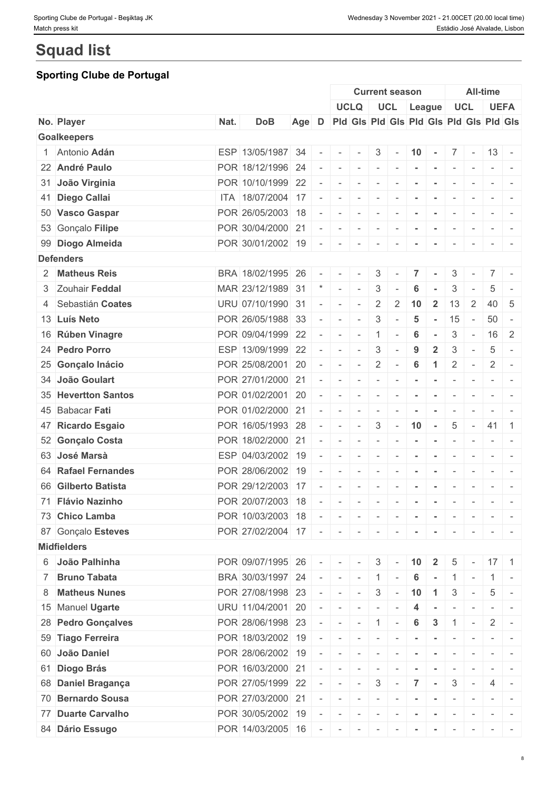# **Squad list**

## **Sporting Clube de Portugal**

|                     |      |                   |       |                          |                          |                          |                                                         | <b>Current season</b>                   |                          |                     |                          |                                                             | <b>All-time</b>   |                                                                                                                           |
|---------------------|------|-------------------|-------|--------------------------|--------------------------|--------------------------|---------------------------------------------------------|-----------------------------------------|--------------------------|---------------------|--------------------------|-------------------------------------------------------------|-------------------|---------------------------------------------------------------------------------------------------------------------------|
|                     |      |                   |       |                          |                          | <b>UCLQ</b>              |                                                         | UCL League                              |                          |                     |                          | <b>UCL</b>                                                  |                   | <b>UEFA</b>                                                                                                               |
| No. Player          | Nat. | <b>DoB</b>        | Age D |                          |                          |                          |                                                         | Pid Gis Pid Gis Pid Gis Pid Gis Pid Gis |                          |                     |                          |                                                             |                   |                                                                                                                           |
| <b>Goalkeepers</b>  |      |                   |       |                          |                          |                          |                                                         |                                         |                          |                     |                          |                                                             |                   |                                                                                                                           |
| 1 Antonio Adán      |      | ESP 13/05/1987 34 |       | $\overline{\phantom{a}}$ | $\sim$                   | $\sim$                   | $3 \mid -$                                              |                                         |                          | $ 10  -  7  -  13 $ |                          |                                                             |                   |                                                                                                                           |
| 22 André Paulo      |      | POR 18/12/1996 24 |       |                          | $\sim$                   | $\sim$                   | $\sim$                                                  | $\sim$                                  |                          | $\sim$              | $\sim$                   | $\sim$                                                      |                   |                                                                                                                           |
| 31 João Virginia    |      | POR 10/10/1999 22 |       |                          | $\sim$                   | $\sim$                   | $\overline{\phantom{a}}$                                |                                         |                          |                     |                          |                                                             |                   |                                                                                                                           |
| 41 Diego Callai     |      | ITA 18/07/2004 17 |       |                          | $\sim$                   | $\sim$                   | $\sim$                                                  | $\sim$                                  | $\sim$                   | $\sim$              | $\overline{\phantom{a}}$ | $\sim$                                                      | $-1$              |                                                                                                                           |
| 50 Vasco Gaspar     |      | POR 26/05/2003 18 |       |                          |                          | $\sim$                   | $\sim$                                                  |                                         |                          | $\sim$              | $\overline{\phantom{a}}$ | $\overline{\phantom{a}}$                                    |                   | $\frac{1}{2} \left( \frac{1}{2} \right) \left( \frac{1}{2} \right) \left( \frac{1}{2} \right) \left( \frac{1}{2} \right)$ |
| 53 Gonçalo Filipe   |      | POR 30/04/2000 21 |       |                          | $\sim$                   | $\sim$                   | $\sim$                                                  |                                         |                          |                     | $\overline{\phantom{a}}$ |                                                             | $\sim$ 100        |                                                                                                                           |
| 99 Diogo Almeida    |      | POR 30/01/2002 19 |       | $\overline{\phantom{a}}$ | $\sim$                   | $\sim$                   | $\sim$                                                  |                                         |                          |                     | $\overline{\phantom{a}}$ |                                                             |                   |                                                                                                                           |
| <b>Defenders</b>    |      |                   |       |                          |                          |                          |                                                         |                                         |                          |                     |                          |                                                             |                   |                                                                                                                           |
| 2 Matheus Reis      |      | BRA 18/02/1995 26 |       |                          |                          |                          | 3                                                       |                                         | 7                        |                     | 3                        |                                                             |                   |                                                                                                                           |
| 3 Zouhair Feddal    |      | MAR 23/12/1989 31 |       |                          | $\sim$                   | $\sim$                   | 3                                                       |                                         | 6                        |                     | 3                        |                                                             | 5                 |                                                                                                                           |
| 4 Sebastián Coates  |      | URU 07/10/1990 31 |       |                          | $\sim$                   | $\sim$                   | $\overline{2}$                                          | $\overline{2}$                          | 10                       | $\overline{2}$      | 13                       | 2                                                           |                   | 40 5                                                                                                                      |
| 13 Luís Neto        |      | POR 26/05/1988 33 |       |                          | $\sim$                   | $\overline{\phantom{a}}$ | 3                                                       |                                         | 5                        | $\sim$              | 15                       | $\sim$                                                      | 50                | $\overline{\phantom{a}}$                                                                                                  |
| 16 Rúben Vinagre    |      | POR 09/04/1999 22 |       | $\overline{\phantom{a}}$ | $\overline{\phantom{a}}$ | $\sim$                   | $\overline{1}$                                          | $\overline{\phantom{a}}$                | 6                        |                     | 3                        | $\sim$                                                      | 16                | 2                                                                                                                         |
| 24 Pedro Porro      |      | ESP 13/09/1999 22 |       |                          | $\sim$                   | $\sim$                   | 3                                                       |                                         | 9                        | $\mathbf{2}$        | 3                        | $\overline{\phantom{a}}$                                    | 5                 | $\sim$                                                                                                                    |
| 25 Gonçalo Inácio   |      | POR 25/08/2001 20 |       |                          | $\sim$                   | $\sim$                   | $\overline{2}$                                          | $\sim$                                  | $6\phantom{1}6$          | 1                   | $\overline{2}$           | $\overline{\phantom{a}}$                                    | $\overline{2}$    | $\overline{\phantom{a}}$                                                                                                  |
| 34 João Goulart     |      | POR 27/01/2000 21 |       |                          | $\sim$                   | $\sim$                   | $\sim$                                                  | $\overline{\phantom{a}}$                | $\blacksquare$           | $\sim$              | $\overline{\phantom{a}}$ | $\overline{\phantom{a}}$                                    | $\sim$ $\sim$     |                                                                                                                           |
| 35 Hevertton Santos |      | POR 01/02/2001 20 |       |                          | $\sim$                   | $\sim$                   | $\sim$                                                  | $\sim$                                  | $\blacksquare$           | $\sim$              | $\sim$                   | $\sim$                                                      |                   | $\frac{1}{2} \left( \frac{1}{2} \right) \left( \frac{1}{2} \right) \left( \frac{1}{2} \right) \left( \frac{1}{2} \right)$ |
| 45 Babacar Fati     |      | POR 01/02/2000 21 |       |                          | $\sim$                   | $\sim$                   | $\sim$                                                  | $\sim$                                  | $\sim$                   | $\sim$              | $\sim$                   | $\sim$                                                      |                   |                                                                                                                           |
| 47 Ricardo Esgaio   |      | POR 16/05/1993 28 |       |                          | $\sim$                   | $\sim$                   | $\mathbf{3}$                                            | $\sim$                                  | 10                       | $\sim$              | $\overline{5}$           | $\sim$                                                      | 41                | $\blacksquare$ 1                                                                                                          |
| 52 Gonçalo Costa    |      | POR 18/02/2000 21 |       | $\overline{\phantom{a}}$ | $\sim$                   |                          | $\sim$                                                  |                                         |                          |                     | $\sim$                   |                                                             |                   |                                                                                                                           |
| 63 José Marsà       |      | ESP 04/03/2002 19 |       |                          | $\sim$                   | $\sim$<br>$\sim$         |                                                         | $\sim$<br>$\sim$                        | $\blacksquare$           | $\sim$              |                          | $\sim$                                                      |                   | $\frac{1}{2} \left( \frac{1}{2} \right) \left( \frac{1}{2} \right) = \frac{1}{2}$                                         |
| 64 Rafael Fernandes |      | POR 28/06/2002 19 |       |                          | $\overline{\phantom{a}}$ |                          | $\sim$                                                  |                                         | $\sim$                   | $\sim$              | $\sim$                   | $\sim$                                                      |                   | $\mathcal{L} = \{ \mathcal{L} \mid \mathcal{L} = \mathcal{L} \}$                                                          |
|                     |      |                   |       |                          |                          | $\sim$                   | $\overline{\phantom{a}}$                                |                                         |                          |                     | $\overline{\phantom{a}}$ | $\overline{\phantom{a}}$                                    |                   |                                                                                                                           |
| 66 Gilberto Batista |      | POR 29/12/2003 17 |       |                          | $\overline{\phantom{a}}$ | $\overline{\phantom{a}}$ | $\overline{\phantom{a}}$                                |                                         |                          |                     |                          | $\overline{\phantom{a}}$                                    | $ -$              | $\sim$                                                                                                                    |
| 71 Flávio Nazinho   |      | POR 20/07/2003 18 |       |                          | $\sim$                   | $\sim$                   | $\sim$                                                  | $\sim$                                  | $\sim$                   | $\sim$              | $\sim$                   | $\overline{\phantom{a}}$                                    |                   |                                                                                                                           |
| 73 Chico Lamba      |      | POR 10/03/2003 18 |       |                          | $\sim$                   | $\sim$                   | $\sim$                                                  | $\sim$                                  | $\overline{\phantom{a}}$ | $\sim$              | $\sim$                   | $\mathbf{r}$                                                |                   |                                                                                                                           |
| 87 Gonçalo Esteves  |      | POR 27/02/2004 17 |       | $-$                      | $\sim$                   | $\sim$                   | $\sim$                                                  | $\sim$                                  |                          |                     | $\overline{\phantom{a}}$ | $\overline{\phantom{a}}$                                    | $\sim$ 100 $\pm$  |                                                                                                                           |
| <b>Midfielders</b>  |      |                   |       |                          |                          |                          |                                                         |                                         |                          |                     |                          |                                                             |                   |                                                                                                                           |
| 6 João Palhinha     |      | POR 09/07/1995 26 |       |                          | $\sim$                   | $\sim$                   | $\begin{array}{ c c c }\hline 3 & \\\hline \end{array}$ |                                         | 10                       | $\overline{2}$      | 5                        |                                                             |                   | $17 \quad 1$                                                                                                              |
| 7 Bruno Tabata      |      | BRA 30/03/1997 24 |       | $\sim$                   | $\sim$                   | $\sim$                   | $\vert 1 \vert$                                         | $\overline{\phantom{a}}$                | 6                        | $\sim$              | 1                        | $\overline{\phantom{a}}$                                    | $\vert 1 \vert$ - |                                                                                                                           |
| 8 Matheus Nunes     |      | POR 27/08/1998 23 |       |                          | $\sim$                   | $\sim$                   | $\mathbf{3}$                                            | $\sim$                                  | 10                       | $\overline{1}$      | 3                        | $\sim$                                                      | 5                 |                                                                                                                           |
| 15 Manuel Ugarte    |      | URU 11/04/2001 20 |       |                          | $\sim$                   | $\sim$                   | $\sim$                                                  |                                         | 4                        |                     | $\overline{\phantom{a}}$ |                                                             |                   | $\frac{1}{2} \left( \frac{1}{2} \right) \left( \frac{1}{2} \right) = \frac{1}{2} \left( \frac{1}{2} \right)$              |
| 28 Pedro Gonçalves  |      | POR 28/06/1998 23 |       |                          | $\sim$                   |                          | $-1$ 1 $-$                                              |                                         | 6                        | $\mathbf{3}$        | $\mathbf{1}$             | $\mathcal{L}^{\mathcal{L}}$ and $\mathcal{L}^{\mathcal{L}}$ | $\overline{2}$    | $\overline{\phantom{a}}$                                                                                                  |
| 59 Tiago Ferreira   |      | POR 18/03/2002 19 |       |                          | $\overline{\phantom{a}}$ | $\sim$                   | $\sim$                                                  |                                         |                          |                     |                          |                                                             |                   |                                                                                                                           |
| 60 João Daniel      |      | POR 28/06/2002 19 |       |                          | $\sim$                   | $\sim$                   | $\sim$                                                  | $\sim$                                  | $\sim$                   | $\sim$              | $\sim$                   |                                                             |                   | $\frac{1}{2} \left( \frac{1}{2} \right) \left( \frac{1}{2} \right) = \frac{1}{2}$                                         |
| 61 Diogo Brás       |      | POR 16/03/2000 21 |       |                          | $\sim$                   | $\sim$                   | $\sim$                                                  |                                         |                          |                     | $\sim$                   |                                                             |                   |                                                                                                                           |
| 68 Daniel Bragança  |      | POR 27/05/1999 22 |       |                          | $\sim$                   | $\sim$                   | 3                                                       |                                         |                          |                     | 3                        | $\sim$                                                      | 4                 |                                                                                                                           |
| 70 Bernardo Sousa   |      | POR 27/03/2000 21 |       |                          | $\sim$                   | $\sim$                   | $\vert \cdot \vert = \vert$                             | $\sim$                                  | $\sim$                   | $\sim$              | $\sim$                   | $\sim$                                                      | $-1$              |                                                                                                                           |
| 77 Duarte Carvalho  |      | POR 30/05/2002 19 |       |                          | $\overline{\phantom{a}}$ | $\sim$                   | $\sim$                                                  | $\sim$                                  | $\,$ $\,$                | $\sim$              | $\sim$                   | $\mathbf{r} = \mathbf{r}$                                   |                   | $\mathcal{L} = \{ \mathcal{L} \mid \mathcal{L} = \mathcal{L} \}$                                                          |
| 84 Dário Essugo     |      | POR 14/03/2005 16 |       |                          |                          |                          |                                                         |                                         |                          | .                   |                          |                                                             |                   |                                                                                                                           |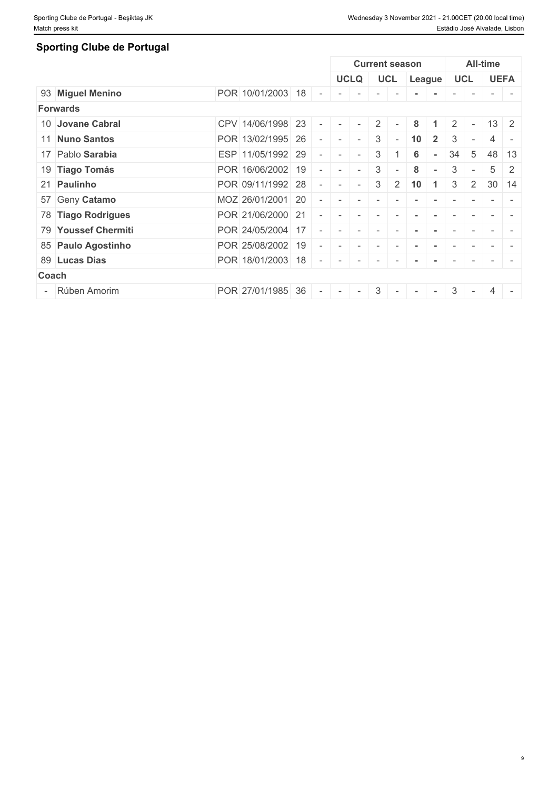9

## **Sporting Clube de Portugal**

|                     |                   |        |                          |             |                          | <b>Current season</b>    |                 |                |    |                          | All-time        |                          |
|---------------------|-------------------|--------|--------------------------|-------------|--------------------------|--------------------------|-----------------|----------------|----|--------------------------|-----------------|--------------------------|
|                     |                   |        |                          | <b>UCLQ</b> |                          | <b>UCL</b>               |                 | League         |    | <b>UCL</b>               |                 | <b>UEFA</b>              |
| 93 Miguel Menino    | POR 10/01/2003 18 |        |                          |             |                          |                          |                 |                |    |                          |                 |                          |
| <b>Forwards</b>     |                   |        |                          |             |                          |                          |                 |                |    |                          |                 |                          |
| 10 Jovane Cabral    | CPV 14/06/1998 23 |        | $\overline{\phantom{a}}$ | $\sim$      | 2 <sup>1</sup>           | $\sim$                   | 8               |                | 2  | $\sim$                   |                 | $13 \mid 2$              |
| 11 Nuno Santos      | POR 13/02/1995 26 |        |                          | $\sim$      | 3                        | $\overline{\phantom{0}}$ | 10 <sup>°</sup> | $\overline{2}$ | 3  | $\overline{\phantom{a}}$ | 4               | $\overline{\phantom{a}}$ |
| 17 Pablo Sarabia    | ESP 11/05/1992 29 |        | $\overline{\phantom{a}}$ | $\sim$      | 3                        |                          | 6               |                | 34 | $\overline{5}$           | 48              | 13                       |
| 19 Tiago Tomás      | POR 16/06/2002 19 | $\sim$ | $\sim$                   | $\sim$      | 3 <sup>1</sup>           | $\sim$                   | 8               | $\sim$         | 3  | $\sim$                   | $5\overline{)}$ | 2                        |
| 21 Paulinho         | POR 09/11/1992 28 |        |                          | $\sim$      | 3                        |                          | 10              |                | 3  | 2                        | 30              | 14                       |
| 57 Geny Catamo      | MOZ 26/01/2001 20 |        |                          |             |                          |                          |                 |                |    |                          |                 |                          |
| 78 Tiago Rodrigues  | POR 21/06/2000 21 |        |                          |             |                          |                          |                 |                |    |                          |                 |                          |
| 79 Youssef Chermiti | POR 24/05/2004 17 |        |                          |             | $\overline{\phantom{a}}$ |                          |                 |                |    |                          |                 |                          |
| 85 Paulo Agostinho  | POR 25/08/2002 19 |        | $\overline{\phantom{a}}$ |             |                          |                          |                 |                |    |                          |                 |                          |
| 89 Lucas Dias       | POR 18/01/2003 18 | $\sim$ | $\overline{\phantom{a}}$ | $\sim$      | $\overline{\phantom{0}}$ | $-$                      |                 |                |    |                          |                 |                          |
| Coach               |                   |        |                          |             |                          |                          |                 |                |    |                          |                 |                          |
| - Rúben Amorim      | POR 27/01/1985 36 | $\sim$ | $\overline{\phantom{a}}$ | $\sim$      | $\frac{1}{3}$            | $-$                      |                 | $\sim$         | 3  | $\sim$                   | 4               | $\overline{\phantom{a}}$ |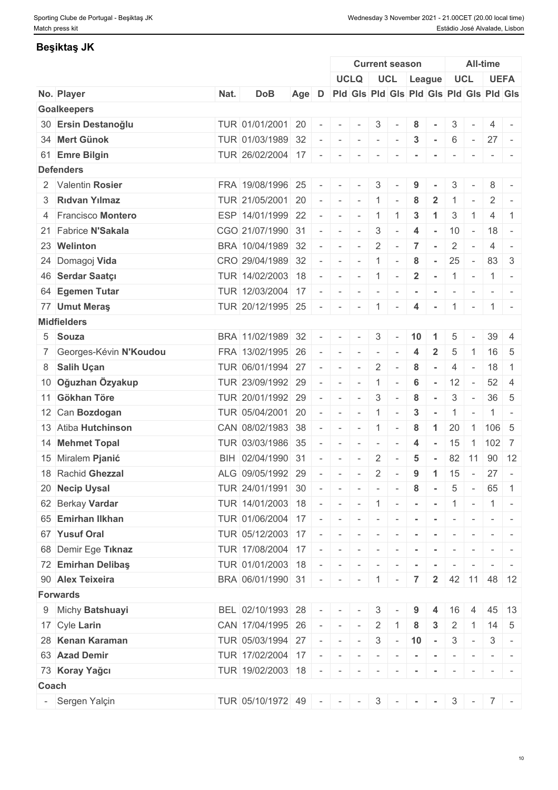## **Beşiktaş JK**

|       |                          |      |                                   |                                               |                          |                                                                                                             |                                                                                                                                     |                          | <b>Current season</b>    |                 |                           |                |                          | All-time            |                          |
|-------|--------------------------|------|-----------------------------------|-----------------------------------------------|--------------------------|-------------------------------------------------------------------------------------------------------------|-------------------------------------------------------------------------------------------------------------------------------------|--------------------------|--------------------------|-----------------|---------------------------|----------------|--------------------------|---------------------|--------------------------|
|       |                          |      |                                   |                                               |                          |                                                                                                             | <b>UCLQ</b>                                                                                                                         |                          | UCL League               |                 |                           |                | <b>UCL</b>               |                     | <b>UEFA</b>              |
|       | No. Player               | Nat. | <b>DoB</b>                        | Age D Pid Gis Pid Gis Pid Gis Pid Gis Pid Gis |                          |                                                                                                             |                                                                                                                                     |                          |                          |                 |                           |                |                          |                     |                          |
|       | <b>Goalkeepers</b>       |      |                                   |                                               |                          |                                                                                                             |                                                                                                                                     |                          |                          |                 |                           |                |                          |                     |                          |
|       | 30 Ersin Destanoğlu      |      | TUR 01/01/2001 20                 |                                               |                          | $\sim$                                                                                                      | $\sim$                                                                                                                              | $\mathbf{3}$             |                          | 8               |                           | 3              |                          | 4                   |                          |
|       | 34 Mert Günok            |      | TUR 01/03/1989 32                 |                                               |                          | $\sim$                                                                                                      | $\sim$                                                                                                                              | $\sim$                   | $\sim$                   | $\mathbf{3}$    | $\sim$                    | 6              | $\sim$                   | $27 -$              |                          |
|       | 61 Emre Bilgin           |      | TUR 26/02/2004 17                 |                                               | $\sim$                   | $\sim$                                                                                                      | $\sim$                                                                                                                              | $\overline{\phantom{a}}$ |                          |                 |                           |                |                          |                     |                          |
|       | <b>Defenders</b>         |      |                                   |                                               |                          |                                                                                                             |                                                                                                                                     |                          |                          |                 |                           |                |                          |                     |                          |
|       | 2 Valentin Rosier        |      | FRA 19/08/1996 25                 |                                               |                          | $\sim$                                                                                                      | $\sim$                                                                                                                              | 3                        |                          | 9               |                           | 3              |                          | 8                   | $\sim$                   |
|       | 3 Ridvan Yilmaz          |      | TUR 21/05/2001 20                 |                                               | $\sim$                   | $\begin{array}{cccccccccc} \bullet & \bullet & \bullet & \bullet & \bullet & \bullet & \bullet \end{array}$ |                                                                                                                                     | $\overline{1}$           |                          | 8               | $\overline{2}$            |                |                          | 2                   |                          |
|       | 4 Francisco Montero      |      | ESP 14/01/1999 22                 |                                               | $\sim$                   | $\sim$                                                                                                      | $\sim$                                                                                                                              | $\overline{1}$           | $\mathbf{1}$             | 3               | $\blacktriangleleft$      | 3              |                          | 4                   | -1                       |
|       | 21 Fabrice N'Sakala      |      | CGO 21/07/1990 31                 |                                               |                          | $\sim$                                                                                                      | $\sim$                                                                                                                              | $\mathbf{3}$             | $\sim$                   | 4               | $\sim$                    | 10             | $\sim$                   | 18                  | $\sim$                   |
|       | 23 Welinton              |      | BRA 10/04/1989 32                 |                                               |                          | $\sim$                                                                                                      | $\sim$                                                                                                                              | 2                        | $\sim$                   | 7               |                           | $\overline{2}$ |                          | 4                   |                          |
|       | 24 Domagoj Vida          |      | CRO 29/04/1989 32                 |                                               | $\overline{\phantom{a}}$ | $\sim$                                                                                                      | $\sim$                                                                                                                              | $\mathbf{1}$             | $\sim$                   | 8               | $\sim$                    | 25             | $\sim$                   | 83                  | -3                       |
|       | 46 Serdar Saatçı         |      | TUR 14/02/2003 18                 |                                               | $\sim$                   |                                                                                                             | $  1$ $-$                                                                                                                           |                          |                          | $\overline{2}$  | $\sim$ $-$                | $1 -$          |                          |                     | $1 -$                    |
|       | 64 Egemen Tutar          |      | TUR 12/03/2004 17                 |                                               |                          | $\overline{\phantom{a}}$                                                                                    | $\sim$                                                                                                                              | $\sim$                   | $\sim$                   |                 |                           |                |                          |                     |                          |
|       | 77 Umut Meras            |      | TUR 20/12/1995 25                 |                                               |                          | $\sim$                                                                                                      | $\sim$                                                                                                                              | $\overline{1}$           | $\overline{\phantom{a}}$ | 4               | $\sim$                    |                | $\mathbf{r}$             |                     | $1 -$                    |
|       | <b>Midfielders</b>       |      |                                   |                                               |                          |                                                                                                             |                                                                                                                                     |                          |                          |                 |                           |                |                          |                     |                          |
|       | 5 Souza                  |      | BRA 11/02/1989 32                 |                                               | $\overline{\phantom{a}}$ | $\sim$                                                                                                      | $\sim$                                                                                                                              | 3                        | $\sim$                   | 10              |                           | 5              |                          | 39                  | -4                       |
|       | 7 Georges-Kévin N'Koudou |      | FRA 13/02/1995 26                 |                                               |                          | $\sim$                                                                                                      | $\sim$                                                                                                                              | $\overline{\phantom{a}}$ |                          | 4               |                           | 5              |                          |                     | 16 5                     |
|       | 8 Salih Uçan             |      | TUR 06/01/1994 27                 |                                               |                          | $\overline{\phantom{a}}$                                                                                    | $\sim$                                                                                                                              | 2                        | $\overline{\phantom{a}}$ | 8               | $\sim$                    | 4              | $\sim$                   | 18                  | $\overline{1}$           |
|       | 10 Oğuzhan Özyakup       |      | TUR 23/09/1992 29                 |                                               |                          | $\sim$                                                                                                      | $\sim$                                                                                                                              | $\mathbf{1}$             | $\overline{\phantom{a}}$ | $6\phantom{1}6$ | $\sim$                    | 12             | $\overline{\phantom{a}}$ | 52                  | $\overline{4}$           |
|       | 11 Gökhan Töre           |      | TUR 20/01/1992 29                 |                                               |                          | $\sim$                                                                                                      | $\sim$                                                                                                                              | $\mathbf{3}$             | $\sim$                   | 8               | $\sim$                    | 3              | $\sim$                   |                     | $36 \quad 5$             |
|       | 12 Can Bozdogan          |      | TUR 05/04/2001 20                 |                                               | $\overline{\phantom{a}}$ | $\sim$                                                                                                      | $\sim$                                                                                                                              | $\overline{1}$           | $\overline{\phantom{a}}$ | 3               |                           | -1             | $\overline{\phantom{a}}$ | 1 <sup>1</sup>      | $\overline{\phantom{a}}$ |
|       | 13 Atiba Hutchinson      |      | CAN 08/02/1983 38                 |                                               |                          | $\sim$                                                                                                      | $\sim$                                                                                                                              | $\overline{1}$           | $\sim$                   | 8               | $\mathbf 1$               | 20             | $\overline{1}$           | 106 5               |                          |
|       | 14 Mehmet Topal          |      | TUR 03/03/1986 35                 |                                               |                          | $\equiv$                                                                                                    | $\sim$                                                                                                                              | $\sim$                   | $\sim$                   | $\overline{4}$  | $\sim$                    | 15             |                          | $1 \mid 102 \mid 7$ |                          |
|       | 15 Miralem Pjanić        |      | BIH 02/04/1990 31                 |                                               |                          | $\sim$                                                                                                      | $\sim$                                                                                                                              | 2                        |                          | 5               | $\sim$                    |                | 82 11                    |                     | $90 \mid 12$             |
|       | 18 Rachid Ghezzal        |      | ALG 09/05/1992 29                 |                                               |                          | $\sim$                                                                                                      | $\sim$                                                                                                                              | $\overline{2}$           | $\sim$                   | 9               | $\overline{1}$            | 15             | $\sim$ $ \sim$           | 27                  | $\sim$                   |
|       | 20 Necip Uysal           |      | TUR 24/01/1991 30                 |                                               |                          |                                                                                                             | $\begin{array}{cccccccccccccc} \bullet & \bullet & \bullet & \bullet & \bullet & \bullet & \bullet & \bullet & \bullet \end{array}$ |                          | $\sim$                   | 8               | $\sim$                    | 5              | $\sim$                   |                     | 65 1                     |
|       | 62 Berkay Vardar         |      | TUR 14/01/2003 18                 |                                               |                          |                                                                                                             | $    1$ $    1$ $-$                                                                                                                 |                          |                          |                 |                           |                |                          | $\vert 1 \vert$ -   |                          |
|       | 65 Emirhan Ilkhan        |      | TUR 01/06/2004 17 - - - - - - - - |                                               |                          |                                                                                                             |                                                                                                                                     |                          |                          |                 |                           | $\sim$         | $\sim$                   |                     | $ -$                     |
|       | 67 Yusuf Oral            |      | TUR 05/12/2003 17                 |                                               |                          |                                                                                                             |                                                                                                                                     |                          |                          |                 |                           | $\sim$         |                          |                     | $ -$                     |
|       | 68 Demir Ege Tiknaz      |      | TUR 17/08/2004 17                 |                                               |                          |                                                                                                             | .                                                                                                                                   |                          |                          |                 |                           |                |                          |                     |                          |
|       | 72 Emirhan Delibaş       |      | TUR 01/01/2003 18                 |                                               |                          |                                                                                                             |                                                                                                                                     |                          |                          |                 |                           |                |                          |                     |                          |
|       | 90 Alex Teixeira         |      | BRA 06/01/1990 31 - - - - 1 - 7   |                                               | $\sim$                   | $\begin{array}{cccccccccc} \bullet & \bullet & \bullet & \bullet & \bullet & \bullet & \bullet \end{array}$ |                                                                                                                                     | $\sim$                   |                          |                 |                           |                |                          |                     |                          |
|       | <b>Forwards</b>          |      |                                   |                                               |                          |                                                                                                             |                                                                                                                                     |                          |                          |                 | $2^{\circ}$               |                |                          | 42 11 48 12         |                          |
|       |                          |      |                                   |                                               |                          |                                                                                                             |                                                                                                                                     |                          |                          |                 |                           |                |                          |                     |                          |
|       | 9 Michy Batshuayi        |      | BEL 02/10/1993 28                 |                                               |                          |                                                                                                             |                                                                                                                                     | 3                        |                          |                 |                           | 16             |                          | 45                  | 13                       |
|       | 17 Cyle Larin            |      | CAN 17/04/1995 26                 |                                               |                          | $   -$                                                                                                      |                                                                                                                                     | $2 \mid 1$               |                          | 8               | 3                         | $\mathbf{2}$   | $\overline{1}$           |                     | $14 \quad 5$             |
|       | 28 Kenan Karaman         |      | TUR 05/03/1994 27                 |                                               | $\sim$                   |                                                                                                             | $ -  -   3   -   10   -  $                                                                                                          |                          |                          |                 |                           | $\mathbf{3}$   | $\mathbf{r}$             | 3                   | $\sim$ $-$               |
|       | 63 Azad Demir            |      | TUR 17/02/2004 17                 |                                               |                          |                                                                                                             | .                                                                                                                                   |                          |                          |                 | $\sim$                    |                | $\sim$                   |                     |                          |
|       | 73 Koray Yağcı           |      | TUR 19/02/2003 18                 |                                               |                          |                                                                                                             | .                                                                                                                                   |                          |                          | $\sim$          | $\sim$                    | $\sim$         | $\sim$                   |                     | $ -$                     |
| Coach |                          |      |                                   |                                               |                          |                                                                                                             |                                                                                                                                     |                          |                          |                 |                           |                |                          |                     |                          |
|       | - Sergen Yalçin          |      | TUR 05/10/1972 49 - - -           |                                               |                          |                                                                                                             |                                                                                                                                     |                          | $3 - -$                  |                 | $\mathbf{r} = \mathbf{r}$ |                |                          | $3 - 7 -$           |                          |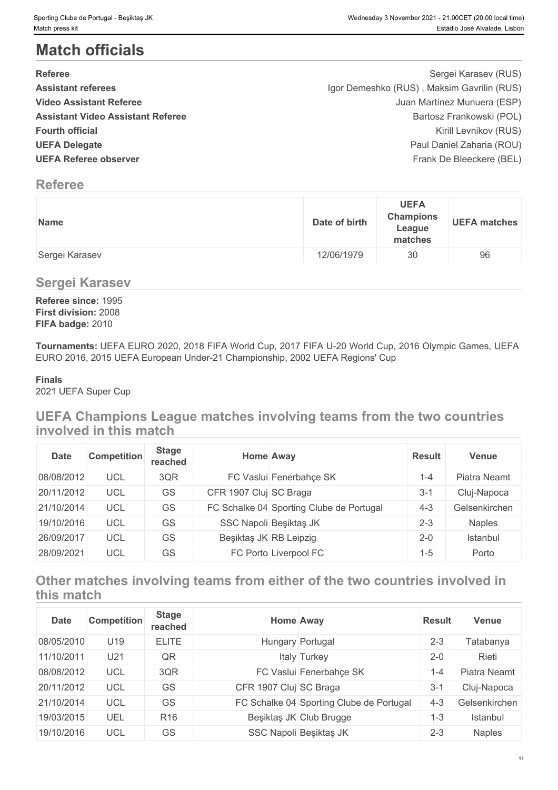# **Match officials**

| <b>Referee</b>                           | Sergei Karasev (RUS)                       |  |
|------------------------------------------|--------------------------------------------|--|
| <b>Assistant referees</b>                | Igor Demeshko (RUS), Maksim Gavrilin (RUS) |  |
| <b>Video Assistant Referee</b>           | Juan Martínez Munuera (ESP)                |  |
| <b>Assistant Video Assistant Referee</b> | Bartosz Frankowski (POL)                   |  |
| <b>Fourth official</b>                   | Kirill Levnikov (RUS)                      |  |
| <b>UEFA Delegate</b>                     | Paul Daniel Zaharia (ROU)                  |  |
| <b>UEFA Referee observer</b>             | Frank De Bleeckere (BEL)                   |  |

## **Referee**

| Name           | Date of birth | <b>UEFA</b><br><b>Champions</b><br>League<br>matches | <b>UEFA matches</b> |
|----------------|---------------|------------------------------------------------------|---------------------|
| Sergei Karasev | 12/06/1979    | 30                                                   | 96                  |

## **Sergei Karasev**

**Referee since:** 1995 **First division:** 2008 **FIFA badge:** 2010

**Tournaments:** UEFA EURO 2020, 2018 FIFA World Cup, 2017 FIFA U-20 World Cup, 2016 Olympic Games, UEFA EURO 2016, 2015 UEFA European Under-21 Championship, 2002 UEFA Regions' Cup

## **Finals**

2021 UEFA Super Cup

## **UEFA Champions League matches involving teams from the two countries involved in this match**

| <b>Date</b> | <b>Competition</b> | <b>Stage</b><br>reached |                        | <b>Home Away</b>                         | <b>Result</b> | <b>Venue</b>  |
|-------------|--------------------|-------------------------|------------------------|------------------------------------------|---------------|---------------|
| 08/08/2012  | UCL                | 3QR                     |                        | FC Vaslui Fenerbahce SK                  | l -4          | Piatra Neamt  |
| 20/11/2012  | UCL                | GS                      | CFR 1907 Cluj SC Braga |                                          | $3-$          | Cluj-Napoca   |
| 21/10/2014  | UCL                | GS                      |                        | FC Schalke 04 Sporting Clube de Portugal | $4 - 3$       | Gelsenkirchen |
| 19/10/2016  | UCL                | GS                      |                        | SSC Napoli Beşiktaş JK                   | $2 - 3$       | <b>Naples</b> |
| 26/09/2017  | UCL                | GS                      | Beşiktaş JK RB Leipzig |                                          | $2 - 0$       | Istanbul      |
| 28/09/2021  | UCL                | GS                      |                        | FC Porto Liverpool FC                    | 1-5           | Porto         |

## **Other matches involving teams from either of the two countries involved in this match**

| <b>Date</b> | <b>Competition</b> | <b>Stage</b><br>reached |                        | Home Away                                | <b>Result</b> | Venue         |
|-------------|--------------------|-------------------------|------------------------|------------------------------------------|---------------|---------------|
| 08/05/2010  | U19                | <b>ELITE</b>            |                        | Hungary Portugal                         | $2 - 3$       | Tatabanya     |
| 11/10/2011  | U21                | QR                      |                        | Italy Turkey                             | $2 - 0$       | Rieti         |
| 08/08/2012  | UCL                | 3QR                     |                        | FC Vaslui Fenerbahçe SK                  | $1 - 4$       | Piatra Neamt  |
| 20/11/2012  | <b>UCL</b>         | GS                      | CFR 1907 Cluj SC Braga |                                          | $3 - 1$       | Cluj-Napoca   |
| 21/10/2014  | UCL                | GS                      |                        | FC Schalke 04 Sporting Clube de Portugal | $4 - 3$       | Gelsenkirchen |
| 19/03/2015  | UEL                | R <sub>16</sub>         |                        | Beşiktaş JK Club Brugge                  | $1 - 3$       | Istanbul      |
| 19/10/2016  | UCL                | GS                      |                        | SSC Napoli Beşiktaş JK                   | $2 - 3$       | <b>Naples</b> |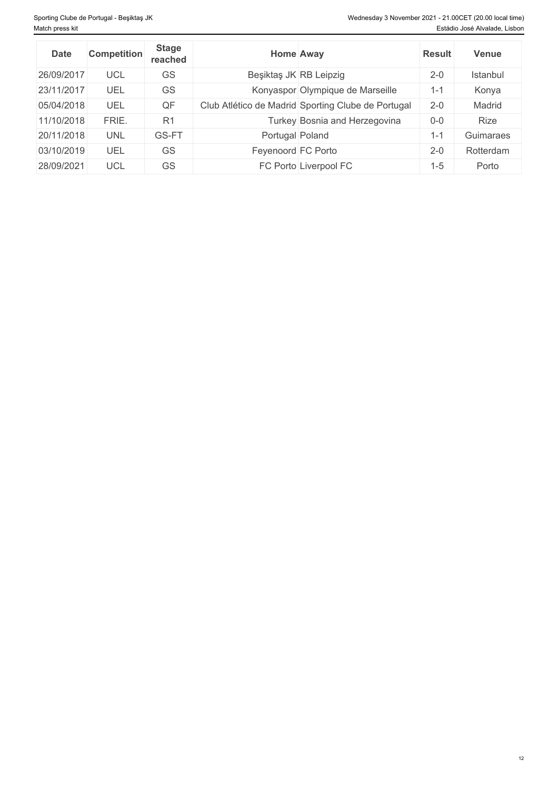| <b>Date</b> | <b>Competition</b> | <b>Stage</b><br>reached | <b>Home Away</b>                                   | <b>Result</b> | <b>Venue</b> |
|-------------|--------------------|-------------------------|----------------------------------------------------|---------------|--------------|
| 26/09/2017  | UCL                | GS                      | Beşiktaş JK RB Leipzig                             | $2 - 0$       | Istanbul     |
| 23/11/2017  | UEL                | GS                      | Konyaspor Olympique de Marseille                   | $1 - 1$       | Konya        |
| 05/04/2018  | UEL                | QF                      | Club Atlético de Madrid Sporting Clube de Portugal | $2 - 0$       | Madrid       |
| 11/10/2018  | FRIE.              | R <sub>1</sub>          | Turkey Bosnia and Herzegovina                      | $0-0$         | Rize         |
| 20/11/2018  | <b>UNL</b>         | GS-FT                   | Portugal Poland                                    | $-1$          | Guimaraes    |
| 03/10/2019  | UEL                | GS                      | Feyenoord FC Porto                                 | $2 - 0$       | Rotterdam    |
| 28/09/2021  | UCL                | GS                      | FC Porto Liverpool FC                              | -5            | Porto        |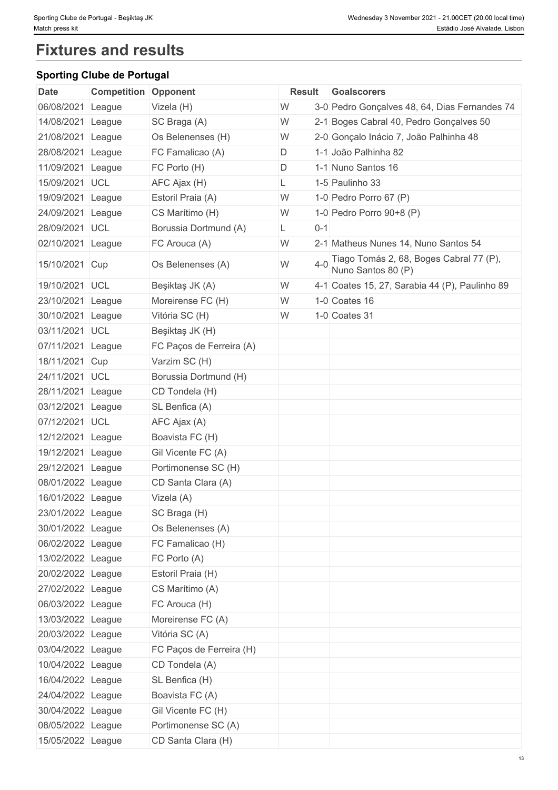# **Fixtures and results**

## **Sporting Clube de Portugal**

| <b>Date</b>       | <b>Competition Opponent</b> |                          | Result |         | Goalscorers                                                   |
|-------------------|-----------------------------|--------------------------|--------|---------|---------------------------------------------------------------|
| 06/08/2021        | League                      | Vizela (H)               | W      |         | 3-0 Pedro Gonçalves 48, 64, Dias Fernandes 74                 |
| 14/08/2021        | League                      | SC Braga (A)             | W      |         | 2-1 Boges Cabral 40, Pedro Gonçalves 50                       |
| 21/08/2021        | League                      | Os Belenenses (H)        | W      |         | 2-0 Gonçalo Inácio 7, João Palhinha 48                        |
| 28/08/2021        | League                      | FC Famalicao (A)         | D      |         | 1-1 João Palhinha 82                                          |
| 11/09/2021 League |                             | FC Porto (H)             | D      |         | 1-1 Nuno Santos 16                                            |
| 15/09/2021 UCL    |                             | AFC Ajax (H)             | L      |         | 1-5 Paulinho 33                                               |
| 19/09/2021 League |                             | Estoril Praia (A)        | W      |         | 1-0 Pedro Porro 67 $(P)$                                      |
| 24/09/2021 League |                             | CS Marítimo (H)          | W      |         | 1-0 Pedro Porro $90+8$ (P)                                    |
| 28/09/2021 UCL    |                             | Borussia Dortmund (A)    | L.     | $0 - 1$ |                                                               |
| 02/10/2021 League |                             | FC Arouca (A)            | W      |         | 2-1 Matheus Nunes 14, Nuno Santos 54                          |
| 15/10/2021 Cup    |                             | Os Belenenses (A)        | W      | $4 - 0$ | Tiago Tomás 2, 68, Boges Cabral 77 (P),<br>Nuno Santos 80 (P) |
| 19/10/2021 UCL    |                             | Beşiktaş JK (A)          | W      |         | 4-1 Coates 15, 27, Sarabia 44 (P), Paulinho 89                |
| 23/10/2021        | League                      | Moreirense FC (H)        | W      |         | 1-0 Coates 16                                                 |
| 30/10/2021 League |                             | Vitória SC (H)           | W      |         | 1-0 Coates 31                                                 |
| 03/11/2021 UCL    |                             | Beşiktaş JK (H)          |        |         |                                                               |
| 07/11/2021 League |                             | FC Paços de Ferreira (A) |        |         |                                                               |
| 18/11/2021 Cup    |                             | Varzim SC (H)            |        |         |                                                               |
| 24/11/2021 UCL    |                             | Borussia Dortmund (H)    |        |         |                                                               |
| 28/11/2021 League |                             | CD Tondela (H)           |        |         |                                                               |
| 03/12/2021 League |                             | SL Benfica (A)           |        |         |                                                               |
| 07/12/2021 UCL    |                             | AFC Ajax (A)             |        |         |                                                               |
| 12/12/2021 League |                             | Boavista FC (H)          |        |         |                                                               |
| 19/12/2021        | League                      | Gil Vicente FC (A)       |        |         |                                                               |
| 29/12/2021 League |                             | Portimonense SC (H)      |        |         |                                                               |
| 08/01/2022 League |                             | CD Santa Clara (A)       |        |         |                                                               |
| 16/01/2022 League |                             | Vizela (A)               |        |         |                                                               |
| 23/01/2022 League |                             | SC Braga (H)             |        |         |                                                               |
| 30/01/2022 League |                             | Os Belenenses (A)        |        |         |                                                               |
| 06/02/2022 League |                             | FC Famalicao (H)         |        |         |                                                               |
| 13/02/2022 League |                             | FC Porto (A)             |        |         |                                                               |
| 20/02/2022 League |                             | Estoril Praia (H)        |        |         |                                                               |
| 27/02/2022 League |                             | CS Marítimo (A)          |        |         |                                                               |
| 06/03/2022 League |                             | FC Arouca (H)            |        |         |                                                               |
| 13/03/2022 League |                             | Moreirense FC (A)        |        |         |                                                               |
| 20/03/2022 League |                             | Vitória SC (A)           |        |         |                                                               |
| 03/04/2022 League |                             | FC Paços de Ferreira (H) |        |         |                                                               |
| 10/04/2022 League |                             | CD Tondela (A)           |        |         |                                                               |
| 16/04/2022 League |                             | SL Benfica (H)           |        |         |                                                               |
| 24/04/2022 League |                             | Boavista FC (A)          |        |         |                                                               |
|                   |                             |                          |        |         |                                                               |
| 30/04/2022 League |                             | Gil Vicente FC (H)       |        |         |                                                               |
| 08/05/2022 League |                             | Portimonense SC (A)      |        |         |                                                               |
| 15/05/2022 League |                             | CD Santa Clara (H)       |        |         |                                                               |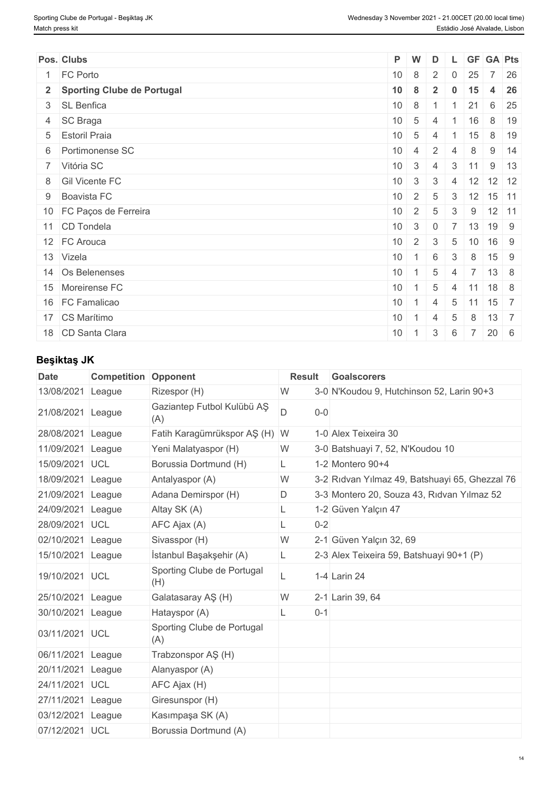| Pos. Clubs                   | P W              |                 | D              |                            |                | L GF GA Pts                      |             |
|------------------------------|------------------|-----------------|----------------|----------------------------|----------------|----------------------------------|-------------|
| 1 FC Porto                   | 10 <sup>°</sup>  | 8               | 2              | $\mathbf 0$                | 25             | 7 <sup>1</sup>                   | 26          |
| 2 Sporting Clube de Portugal | $10 \quad 8$     |                 | $\overline{2}$ | $\overline{\phantom{a}}$ 0 | 15             |                                  | 4 26        |
| 3 SL Benfica                 | 10 <sup>°</sup>  | 8               | $\vert$ 1      |                            | 21             |                                  | 6 25        |
| 4 SC Braga                   | 10               | $5\overline{)}$ | $\overline{4}$ |                            | $1 \quad 16$   |                                  | 8 19        |
| 5 Estoril Praia              | 10               | 5               | 4              |                            | 15             |                                  | 8 19        |
| 6 Portimonense SC            | 10 <sup>°</sup>  | $\overline{4}$  | $\overline{2}$ | $\overline{4}$             | 8              |                                  | $9 \mid 14$ |
| 7 Vitória SC                 | $10 \mid 3 \mid$ |                 | $\overline{4}$ | $3 \mid 11$                |                |                                  | $9 \mid 13$ |
| 8 Gil Vicente FC             |                  | $10 \quad 3$    | $\mathbf{3}$   |                            |                | 4 12 12 12                       |             |
| 9 Boavista FC                | 10 <sup>°</sup>  | $\overline{2}$  | 5              | 3                          |                | $12$ 15 11                       |             |
| 10 FC Paços de Ferreira      | 10               | $2 \vert$       | 5              | 3                          | 9              | $12$ 11                          |             |
| 11 CD Tondela                | 10 <sup>°</sup>  | $\mathbf{3}$    | $\overline{0}$ |                            | 13             | 19 9                             |             |
| 12 FC Arouca                 | 10 <sup>°</sup>  | $-1$ 2 $+$      | 3              | 5                          | $+10$          | 16 9                             |             |
| 13 Vizela                    | 10               | $16$            |                | 3                          | 8              | $15 \quad 9$                     |             |
| 14 Os Belenenses             | 10 <sup>°</sup>  | $-1$            | 5              | $\overline{4}$             | $-7$           | $13 \mid 8$                      |             |
| 15 Moreirense FC             | 10 <sup>°</sup>  | $-1$            | 5              | $\overline{4}$             | 11             | $18$ 8                           |             |
| 16 FC Famalicao              | 10 <sup>°</sup>  | $\overline{1}$  | 4              | $5\phantom{.0}$            | 11             | $15 \overline{\smash{\big)}\ 7}$ |             |
| 17 CS Marítimo               | 10 <sup>°</sup>  | $\overline{1}$  | 4              | 5                          | 8              | $13 \mid 7$                      |             |
| 18 CD Santa Clara            | 10               | $\overline{1}$  | $\mathbf{3}$   | 6                          | $\overline{7}$ | $20 \quad 6$                     |             |

## **Beşiktaş JK**

| <b>Date</b>       | <b>Competition</b> | Opponent                          | <b>Result</b> | <b>Goalscorers</b>                             |
|-------------------|--------------------|-----------------------------------|---------------|------------------------------------------------|
| 13/08/2021        | League             | Rizespor (H)                      | W             | 3-0 N'Koudou 9, Hutchinson 52, Larin 90+3      |
| 21/08/2021        | League             | Gaziantep Futbol Kulübü AŞ<br>(A) | D<br>$0-0$    |                                                |
| 28/08/2021        | League             | Fatih Karagümrükspor AŞ (H) W     |               | 1-0 Alex Teixeira 30                           |
| 11/09/2021        | League             | Yeni Malatyaspor (H)              | W             | 3-0 Batshuayi 7, 52, N'Koudou 10               |
| 15/09/2021 UCL    |                    | Borussia Dortmund (H)             | L.            | 1-2 Montero 90+4                               |
| 18/09/2021        | League             | Antalyaspor (A)                   | W             | 3-2 Ridvan Yilmaz 49, Batshuayi 65, Ghezzal 76 |
| 21/09/2021        | League             | Adana Demirspor (H)               | D             | 3-3 Montero 20, Souza 43, Ridvan Yilmaz 52     |
| 24/09/2021        | League             | Altay SK (A)                      | L.            | 1-2 Güven Yalçın 47                            |
| 28/09/2021        | <b>UCL</b>         | AFC Ajax (A)                      | $0 - 2$       |                                                |
| 02/10/2021        | League             | Sivasspor (H)                     | W             | 2-1 Güven Yalçın 32, 69                        |
| 15/10/2021        | League             | İstanbul Başakşehir (A)           | L             | 2-3 Alex Teixeira 59, Batshuayi 90+1 (P)       |
| 19/10/2021 UCL    |                    | Sporting Clube de Portugal<br>(H) | L             | 1-4 Larin 24                                   |
| 25/10/2021        | League             | Galatasaray AŞ (H)                | W             | 2-1 Larin 39, 64                               |
| 30/10/2021        | League             | Hatayspor (A)                     | $0 - 1$<br>L. |                                                |
| 03/11/2021 UCL    |                    | Sporting Clube de Portugal<br>(A) |               |                                                |
| 06/11/2021 League |                    | Trabzonspor AŞ (H)                |               |                                                |
| 20/11/2021 League |                    | Alanyaspor (A)                    |               |                                                |
| 24/11/2021 UCL    |                    | AFC Ajax (H)                      |               |                                                |
| 27/11/2021 League |                    | Giresunspor (H)                   |               |                                                |
| 03/12/2021        | League             | Kasımpaşa SK (A)                  |               |                                                |
| 07/12/2021 UCL    |                    | Borussia Dortmund (A)             |               |                                                |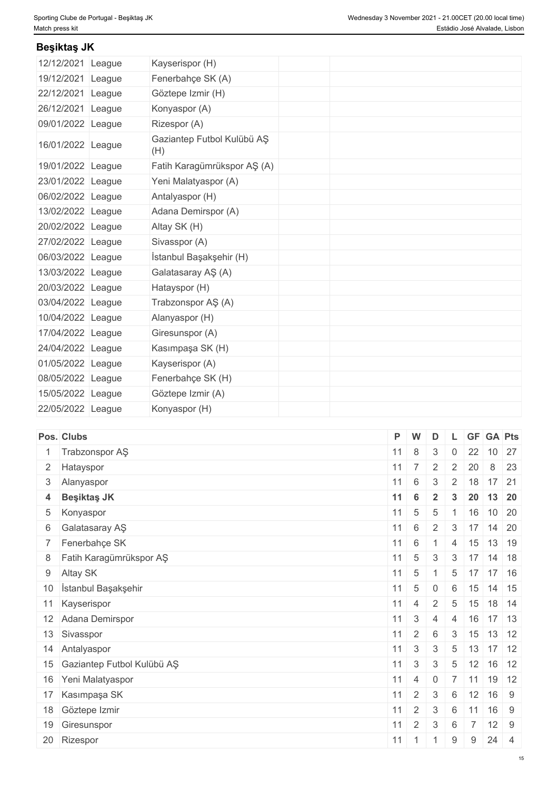## **Beşiktaş JK**

| 12/12/2021 League | Kayserispor (H)                   |  |  |
|-------------------|-----------------------------------|--|--|
| 19/12/2021 League | Fenerbahçe SK (A)                 |  |  |
| 22/12/2021 League | Göztepe Izmir (H)                 |  |  |
| 26/12/2021 League | Konyaspor (A)                     |  |  |
| 09/01/2022 League | Rizespor (A)                      |  |  |
| 16/01/2022 League | Gaziantep Futbol Kulübü AŞ<br>(H) |  |  |
| 19/01/2022 League | Fatih Karagümrükspor AŞ (A)       |  |  |
| 23/01/2022 League | Yeni Malatyaspor (A)              |  |  |
| 06/02/2022 League | Antalyaspor (H)                   |  |  |
| 13/02/2022 League | Adana Demirspor (A)               |  |  |
| 20/02/2022 League | Altay SK (H)                      |  |  |
| 27/02/2022 League | Sivasspor (A)                     |  |  |
| 06/03/2022 League | İstanbul Başakşehir (H)           |  |  |
| 13/03/2022 League | Galatasaray AŞ (A)                |  |  |
| 20/03/2022 League | Hatayspor (H)                     |  |  |
| 03/04/2022 League | Trabzonspor AŞ (A)                |  |  |
| 10/04/2022 League | Alanyaspor (H)                    |  |  |
| 17/04/2022 League | Giresunspor (A)                   |  |  |
| 24/04/2022 League | Kasımpaşa SK (H)                  |  |  |
| 01/05/2022 League | Kayserispor (A)                   |  |  |
| 08/05/2022 League | Fenerbahçe SK (H)                 |  |  |
| 15/05/2022 League | Göztepe Izmir (A)                 |  |  |
| 22/05/2022 League | Konyaspor (H)                     |  |  |

| Pos. Clubs                    | P W         |                      | D              |                 |                |      | <b>GF GA Pts</b>                  |  |
|-------------------------------|-------------|----------------------|----------------|-----------------|----------------|------|-----------------------------------|--|
| Trabzonspor AŞ                | $11 \mid 8$ |                      | $\mathbf{3}$   | $\mathbf 0$     | 22             |      | $10 \overline{\smash{\big)}\ 27}$ |  |
| 2 Hatayspor                   | $11 \mid 7$ |                      | 2              | $\overline{2}$  | 20             |      | 8 23                              |  |
| 3 Alanyaspor                  | $11 \mid 6$ |                      | $\mathbf{3}$   |                 |                |      | $2 \mid 18 \mid 17 \mid 21$       |  |
| 4 Beşiktaş JK                 | 11          | $6\phantom{1}6$      | $\overline{2}$ | $3^{\circ}$     |                |      | 20 13 20                          |  |
| 5 Konyaspor                   | $11 \mid 5$ |                      | 5              |                 |                |      | $1 \mid 16 \mid 10 \mid 20$       |  |
| 6 Galatasaray AŞ              | $11 \mid 6$ |                      | 2              |                 |                |      | $3 \mid 17 \mid 14 \mid 20$       |  |
| 7 Fenerbahçe SK               | 11          | 6                    |                | $\overline{4}$  | 15             |      | 13 19                             |  |
| 8 Fatih Karagümrükspor AŞ     | 11          | $5\overline{)}$      | 3              |                 |                |      | $3 \mid 17 \mid 14 \mid 18$       |  |
| 9 Altay SK                    | 11          | $5\overline{)}$      | $\overline{1}$ | $5\overline{)}$ | 17             |      | $17$ 16                           |  |
| 10 İstanbul Başakşehir        |             | $11 \mid 5 \mid$     | $\overline{0}$ | 6               |                |      | $15$ 14 15                        |  |
| 11 Kayserispor                |             | $11 \mid 4 \mid$     | $\overline{2}$ | $5\overline{)}$ |                |      | $15$ 18 14                        |  |
| 12 Adana Demirspor            | 11          | $\mathbf{3}$         | $\overline{4}$ | $\overline{4}$  | 16             |      | $17 \quad 13$                     |  |
| 13 Sivasspor                  | 11          | $\overline{2}$       | 6              | $\mathbf{3}$    |                |      | $15$ 13 12                        |  |
| 14 Antalyaspor                | 11          | $\mathbf{3}$         | 3              | $5\overline{)}$ |                |      | $13 \mid 17 \mid 12$              |  |
| 15 Gaziantep Futbol Kulübü AŞ |             | $11 \mid 3 \mid$     | $\mathbf{3}$   | $5\overline{)}$ |                |      | $12$ 16 12                        |  |
| 16 Yeni Malatyaspor           | 11          | 4                    | $\overline{0}$ |                 | $7 \mid 11$    |      | $19$ 12                           |  |
| 17 Kasımpaşa SK               | 11          | $\overline{2}$       | 3              | 6               | 12             |      | 16 9                              |  |
| 18 Göztepe Izmir              | 11          | $\overline{2}$       | 3              | 6               | 11             | 16 9 |                                   |  |
| 19 Giresunspor                | 11          | 2                    | 3              | 6               | $\overline{7}$ |      | $12 \mid 9$                       |  |
| 20 Rizespor                   |             | $11 \quad 1 \quad 1$ |                | 9               | 9              |      | $24 \mid 4$                       |  |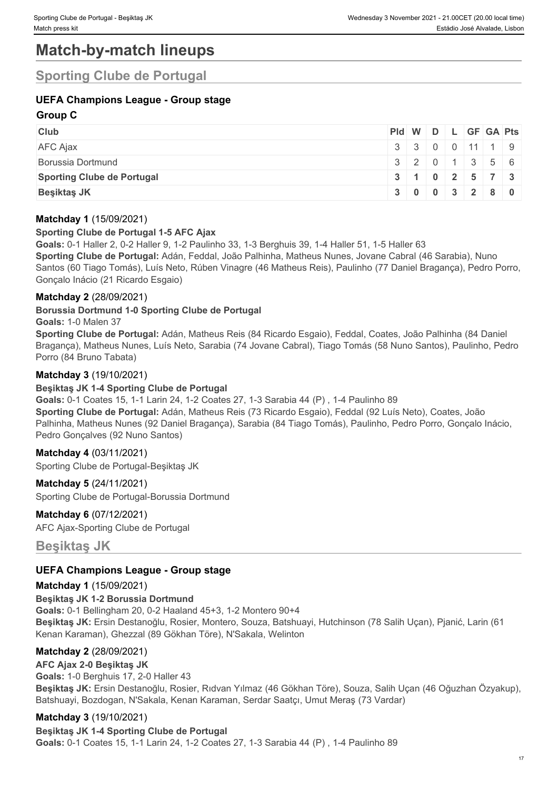# **Match-by-match lineups**

## **Sporting Clube de Portugal**

## **UEFA Champions League - Group stage**

## **Group C**

| <b>Club</b>                       |                  |  |  | $PId \mid W \mid D \mid L \mid GF \mid GA \mid Pts \mid$ |
|-----------------------------------|------------------|--|--|----------------------------------------------------------|
| <b>AFC Ajax</b>                   | $3$ 3 0 0 11 1 9 |  |  |                                                          |
| Borussia Dortmund                 |                  |  |  | 32011356                                                 |
| <b>Sporting Clube de Portugal</b> |                  |  |  | 3   1   0   2   5   7   3                                |
| <b>Besiktas JK</b>                |                  |  |  | $3 \mid 0 \mid 0 \mid 3 \mid 2 \mid 8 \mid 0$            |

#### **Matchday 1** (15/09/2021)

#### **Sporting Clube de Portugal 1-5 AFC Ajax**

**Goals:** 0-1 Haller 2, 0-2 Haller 9, 1-2 Paulinho 33, 1-3 Berghuis 39, 1-4 Haller 51, 1-5 Haller 63 **Sporting Clube de Portugal:** Adán, Feddal, João Palhinha, Matheus Nunes, Jovane Cabral (46 Sarabia), Nuno Santos (60 Tiago Tomás), Luís Neto, Rúben Vinagre (46 Matheus Reis), Paulinho (77 Daniel Bragança), Pedro Porro, Gonçalo Inácio (21 Ricardo Esgaio)

## **Matchday 2** (28/09/2021)

**Borussia Dortmund 1-0 Sporting Clube de Portugal**

#### **Goals:** 1-0 Malen 37

**Sporting Clube de Portugal:** Adán, Matheus Reis (84 Ricardo Esgaio), Feddal, Coates, João Palhinha (84 Daniel Bragança), Matheus Nunes, Luís Neto, Sarabia (74 Jovane Cabral), Tiago Tomás (58 Nuno Santos), Paulinho, Pedro Porro (84 Bruno Tabata)

## **Matchday 3** (19/10/2021)

#### **Beşiktaş JK 1-4 Sporting Clube de Portugal**

**Goals:** 0-1 Coates 15, 1-1 Larin 24, 1-2 Coates 27, 1-3 Sarabia 44 (P) , 1-4 Paulinho 89 **Sporting Clube de Portugal:** Adán, Matheus Reis (73 Ricardo Esgaio), Feddal (92 Luís Neto), Coates, João Palhinha, Matheus Nunes (92 Daniel Bragança), Sarabia (84 Tiago Tomás), Paulinho, Pedro Porro, Gonçalo Inácio, Pedro Gonçalves (92 Nuno Santos)

#### **Matchday 4** (03/11/2021)

Sporting Clube de Portugal-Beşiktaş JK

**Matchday 5** (24/11/2021) Sporting Clube de Portugal-Borussia Dortmund

**Matchday 6** (07/12/2021) AFC Ajax-Sporting Clube de Portugal

**Beşiktaş JK**

## **UEFA Champions League - Group stage**

#### **Matchday 1** (15/09/2021)

**Beşiktaş JK 1-2 Borussia Dortmund Goals:** 0-1 Bellingham 20, 0-2 Haaland 45+3, 1-2 Montero 90+4 **Beşiktaş JK:** Ersin Destanoğlu, Rosier, Montero, Souza, Batshuayi, Hutchinson (78 Salih Uçan), Pjanić, Larin (61 Kenan Karaman), Ghezzal (89 Gökhan Töre), N'Sakala, Welinton

## **Matchday 2** (28/09/2021)

#### **AFC Ajax 2-0 Beşiktaş JK**

**Goals:** 1-0 Berghuis 17, 2-0 Haller 43 **Beşiktaş JK:** Ersin Destanoğlu, Rosier, Rıdvan Yılmaz (46 Gökhan Töre), Souza, Salih Uçan (46 Oğuzhan Özyakup), Batshuayi, Bozdogan, N'Sakala, Kenan Karaman, Serdar Saatçı, Umut Meraş (73 Vardar)

## **Matchday 3** (19/10/2021)

**Beşiktaş JK 1-4 Sporting Clube de Portugal Goals:** 0-1 Coates 15, 1-1 Larin 24, 1-2 Coates 27, 1-3 Sarabia 44 (P) , 1-4 Paulinho 89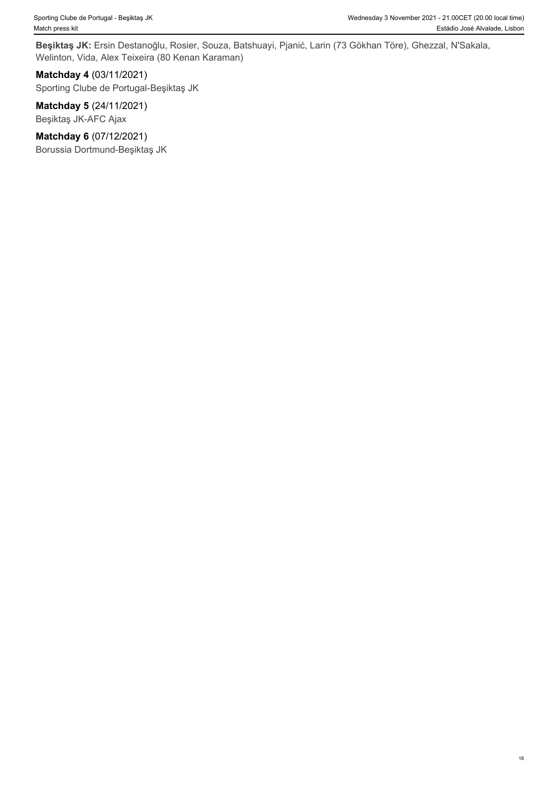**Beşiktaş JK:** Ersin Destanoğlu, Rosier, Souza, Batshuayi, Pjanić, Larin (73 Gökhan Töre), Ghezzal, N'Sakala, Welinton, Vida, Alex Teixeira (80 Kenan Karaman)

**Matchday 4** (03/11/2021) Sporting Clube de Portugal-Beşiktaş JK

**Matchday 5** (24/11/2021) Beşiktaş JK-AFC Ajax

**Matchday 6** (07/12/2021) Borussia Dortmund-Beşiktaş JK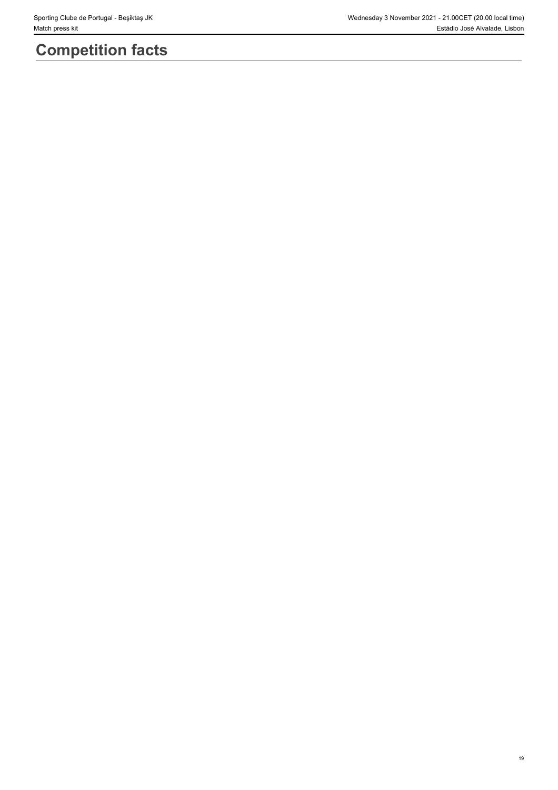# **Competition facts**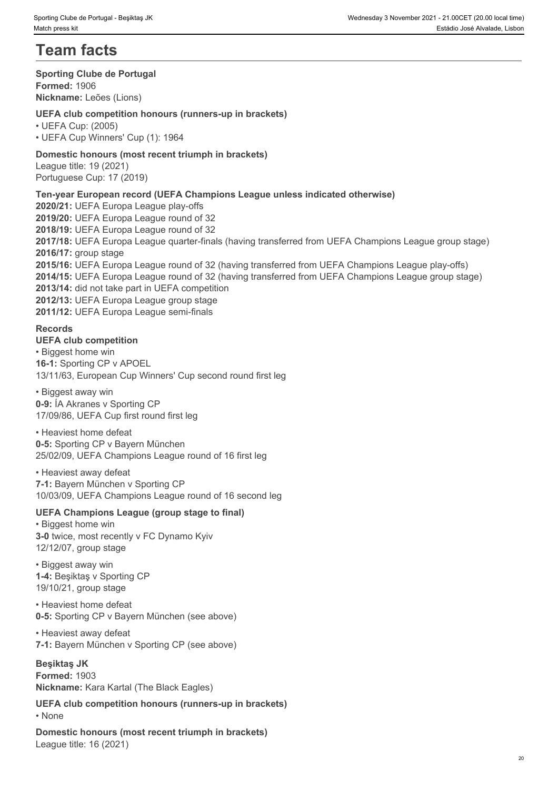# **Team facts**

#### **Sporting Clube de Portugal**

**Formed:** 1906 **Nickname:** Leões (Lions)

**UEFA club competition honours (runners-up in brackets)**

• UEFA Cup: (2005) • UEFA Cup Winners' Cup (1): 1964

## **Domestic honours (most recent triumph in brackets)**

League title: 19 (2021) Portuguese Cup: 17 (2019)

## **Ten-year European record (UEFA Champions League unless indicated otherwise)**

**2020/21:** UEFA Europa League play-offs **2019/20:** UEFA Europa League round of 32 **2018/19:** UEFA Europa League round of 32 **2017/18:** UEFA Europa League quarter-finals (having transferred from UEFA Champions League group stage) **2016/17:** group stage **2015/16:** UEFA Europa League round of 32 (having transferred from UEFA Champions League play-offs) **2014/15:** UEFA Europa League round of 32 (having transferred from UEFA Champions League group stage) **2013/14:** did not take part in UEFA competition **2012/13:** UEFA Europa League group stage **2011/12:** UEFA Europa League semi-finals

## **Records**

## **UEFA club competition**

• Biggest home win **16-1:** Sporting CP v APOEL 13/11/63, European Cup Winners' Cup second round first leg

• Biggest away win **0-9:** ÍA Akranes v Sporting CP 17/09/86, UEFA Cup first round first leg

• Heaviest home defeat **0-5:** Sporting CP v Bayern München 25/02/09, UEFA Champions League round of 16 first leg

• Heaviest away defeat **7-1:** Bayern München v Sporting CP 10/03/09, UEFA Champions League round of 16 second leg

## **UEFA Champions League (group stage to final)**

• Biggest home win **3-0** twice, most recently v FC Dynamo Kyiv 12/12/07, group stage

• Biggest away win **1-4:** Beşiktaş v Sporting CP 19/10/21, group stage

• Heaviest home defeat **0-5:** Sporting CP v Bayern München (see above)

• Heaviest away defeat **7-1:** Bayern München v Sporting CP (see above)

**Beşiktaş JK Formed:** 1903 **Nickname:** Kara Kartal (The Black Eagles)

**UEFA club competition honours (runners-up in brackets)** • None **blue** and **blue** and **blue** and **blue** and **blue** and **blue** and **blue** and **blue** and **blue** and **blue** and **blue** and **blue** and **blue** and **blue** and **blue** and **blue** and **blue** and **blue** and **blue** and **blue** 

**Domestic honours (most recent triumph in brackets)** League title: 16 (2021)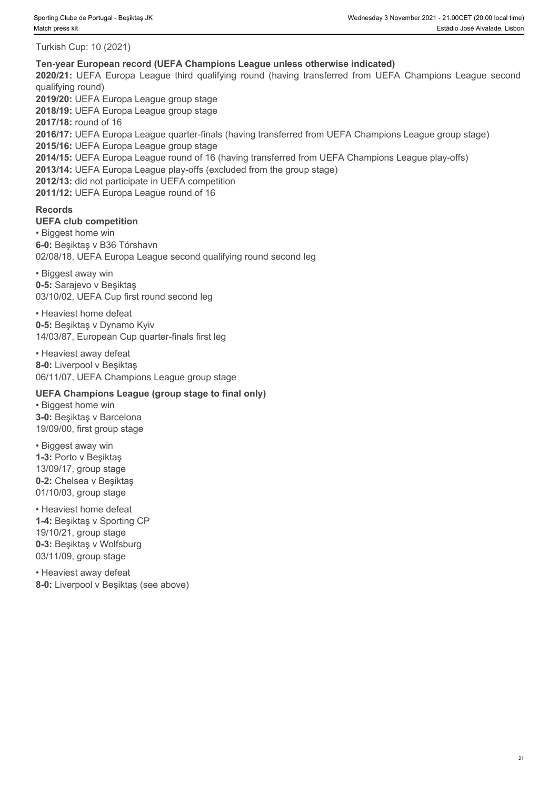Turkish Cup: 10 (2021)

#### **Ten-year European record (UEFA Champions League unless otherwise indicated)**

qualifying round)

**2019/20:** UEFA Europa League group stage

**2018/19:** UEFA Europa League group stage

**2020/21: 2020/21: 2020/21: 2020/21: 2020/21: 2020/21: 2020/21: 2020/21: 2020/21: 2020/21: 2020/21: 2020/21: 2020/21: 2020/21: 2020/21: 2020/21: 2020/21: 2020/21: 2020/21: 2020/21: 2 2017/18:** round of 16 **2016/17:** UEFA Europa League quarter-finals (having transferred from UEFA Champions League group stage) **2015/16:** UEFA Europa League group stage

**2014/15:** UEFA Europa League round of 16 (having transferred from UEFA Champions League play-offs)

**2013/14:** UEFA Europa League play-offs (excluded from the group stage)

**2012/13:** did not participate in UEFA competition

**2011/12:** UEFA Europa League round of 16

#### **Records**

#### **UEFA club competition**

• Biggest home win **6-0:** Beşiktaş v B36 Tórshavn 02/08/18, UEFA Europa League second qualifying round second leg

• Biggest away win **0-5:** Sarajevo v Beşiktaş 03/10/02, UEFA Cup first round second leg

• Heaviest home defeat **0-5:** Beşiktaş v Dynamo Kyiv 14/03/87, European Cup quarter-finals first leg

• Heaviest away defeat **8-0:** Liverpool v Beşiktaş 06/11/07, UEFA Champions League group stage

#### **UEFA Champions League (group stage to final only)**

• Biggest home win **3-0:** Beşiktaş v Barcelona 19/09/00, first group stage

• Biggest away win **1-3:** Porto v Beşiktaş 13/09/17, group stage **0-2:** Chelsea v Beşiktaş 01/10/03, group stage

• Heaviest home defeat **1-4:** Beşiktaş v Sporting CP 19/10/21, group stage **0-3:** Beşiktaş v Wolfsburg 03/11/09, group stage

• Heaviest away defeat **8-0:** Liverpool v Beşiktaş (see above)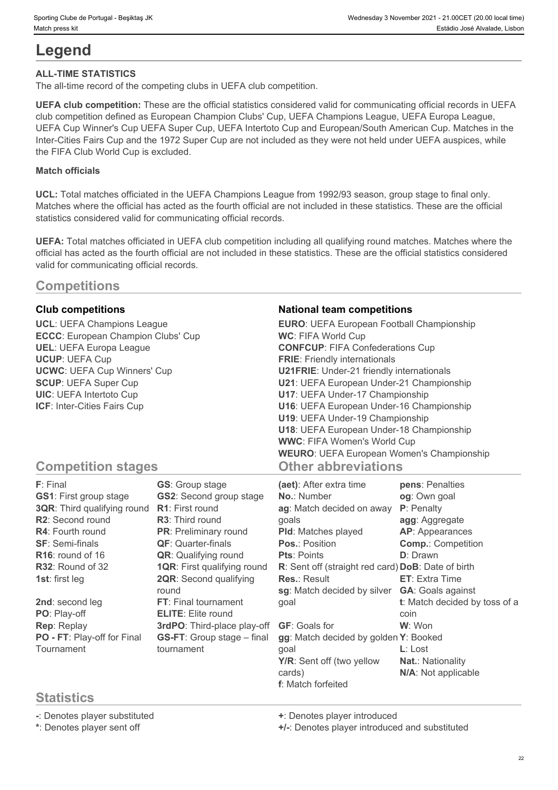# **Legend**

## **ALL-TIME STATISTICS**

The all-time record of the competing clubs in UEFA club competition.

**UEFA club competition:** These are the official statistics considered valid for communicating official records in UEFA club competition defined as European Champion Clubs' Cup, UEFA Champions League, UEFA Europa League, UEFA Cup Winner's Cup UEFA Super Cup, UEFA Intertoto Cup and European/South American Cup. Matches in the Inter-Cities Fairs Cup and the 1972 Super Cup are not included as they were not held under UEFA auspices, while the FIFA Club World Cup is excluded.

## **Match officials**

**UCL:** Total matches officiated in the UEFA Champions League from 1992/93 season, group stage to final only. Matches where the official has acted as the fourth official are not included in these statistics. These are the official statistics considered valid for communicating official records.

**UEFA:** Total matches officiated in UEFA club competition including all qualifying round matches. Matches where the official has acted as the fourth official are not included in these statistics. These are the official statistics considered valid for communicating official records.

## **Competitions**

## **Statistics**

**-**: Denotes player substituted **+**: Denotes player introduced

**\***: Denotes player sent off **+/-**: Denotes player introduced and substituted